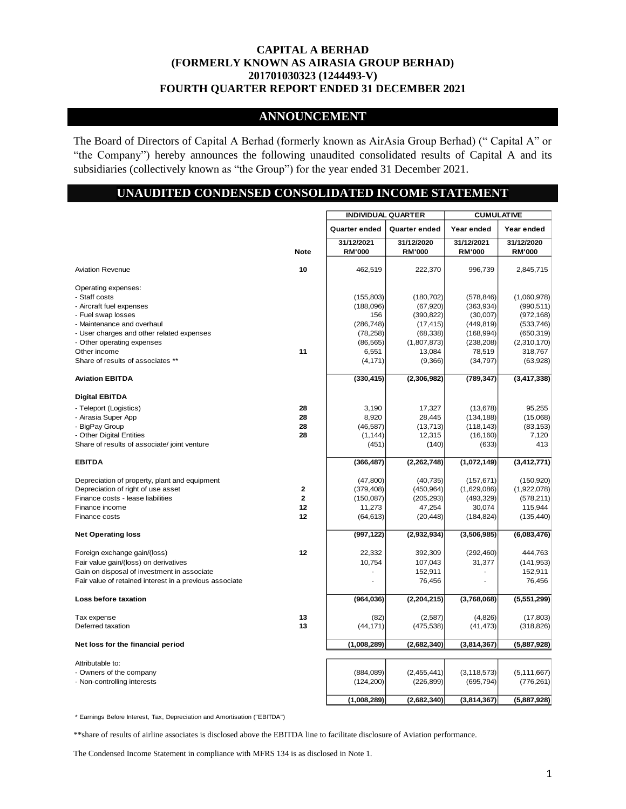## **ANNOUNCEMENT**

The Board of Directors of Capital A Berhad (formerly known as AirAsia Group Berhad) (" Capital A" or "the Company") hereby announces the following unaudited consolidated results of Capital A and its subsidiaries (collectively known as "the Group") for the year ended 31 December 2021.

# **UNAUDITED CONDENSED CONSOLIDATED INCOME STATEMENT**

|                                                         |              | <b>INDIVIDUAL QUARTER</b>   |                             | <b>CUMULATIVE</b>           |                             |
|---------------------------------------------------------|--------------|-----------------------------|-----------------------------|-----------------------------|-----------------------------|
|                                                         |              | <b>Quarter ended</b>        | <b>Quarter ended</b>        | Year ended                  | Year ended                  |
|                                                         | <b>Note</b>  | 31/12/2021<br><b>RM'000</b> | 31/12/2020<br><b>RM'000</b> | 31/12/2021<br><b>RM'000</b> | 31/12/2020<br><b>RM'000</b> |
| <b>Aviation Revenue</b>                                 | 10           | 462,519                     | 222,370                     | 996,739                     | 2,845,715                   |
| Operating expenses:                                     |              |                             |                             |                             |                             |
| - Staff costs                                           |              | (155, 803)                  | (180, 702)                  | (578, 846)                  | (1,060,978)                 |
| - Aircraft fuel expenses                                |              | (188,096)                   | (67, 920)                   | (363, 934)                  | (990, 511)                  |
| - Fuel swap losses                                      |              | 156                         | (390, 822)                  | (30,007)                    | (972, 168)                  |
| - Maintenance and overhaul                              |              | (286, 748)                  | (17, 415)                   | (449, 819)                  | (533, 746)                  |
| - User charges and other related expenses               |              | (78, 258)                   | (68, 338)                   | (168, 994)                  | (650, 319)                  |
| - Other operating expenses                              |              | (86, 565)                   | (1,807,873)                 | (238, 208)                  | (2,310,170)                 |
| Other income                                            | 11           | 6,551                       | 13,084                      | 78,519                      | 318,767                     |
| Share of results of associates **                       |              | (4, 171)                    | (9,366)                     | (34, 797)                   | (63,928)                    |
| <b>Aviation EBITDA</b>                                  |              | (330, 415)                  | (2,306,982)                 | (789, 347)                  | (3, 417, 338)               |
| <b>Digital EBITDA</b>                                   |              |                             |                             |                             |                             |
| - Teleport (Logistics)                                  | 28           | 3,190                       | 17,327                      | (13, 678)                   | 95,255                      |
| - Airasia Super App                                     | 28           | 8,920                       | 28,445                      | (134, 188)                  | (15,068)                    |
| - BigPay Group                                          | 28           | (46, 587)                   | (13, 713)                   | (118, 143)                  | (83, 153)                   |
| - Other Digital Entities                                | 28           | (1, 144)                    | 12,315                      | (16, 160)                   | 7,120                       |
| Share of results of associate/ joint venture            |              | (451)                       | (140)                       | (633)                       | 413                         |
| <b>EBITDA</b>                                           |              | (366, 487)                  | (2, 262, 748)               | (1,072,149)                 | (3, 412, 771)               |
| Depreciation of property, plant and equipment           |              | (47, 800)                   | (40, 735)                   | (157, 671)                  | (150, 920)                  |
| Depreciation of right of use asset                      | $\mathbf{2}$ | (379, 408)                  | (450, 964)                  | (1,629,086)                 | (1,922,078)                 |
| Finance costs - lease liabilities                       | $\mathbf{2}$ | (150,087)                   | (205, 293)                  | (493, 329)                  | (578, 211)                  |
| Finance income                                          | 12           | 11,273                      | 47,254                      | 30,074                      | 115,944                     |
| Finance costs                                           | 12           | (64, 613)                   | (20, 448)                   | (184, 824)                  | (135, 440)                  |
| <b>Net Operating loss</b>                               |              | (997, 122)                  | (2,932,934)                 | (3,506,985)                 | (6,083,476)                 |
| Foreign exchange gain/(loss)                            | 12           | 22,332                      | 392,309                     | (292, 460)                  | 444,763                     |
| Fair value gain/(loss) on derivatives                   |              | 10,754                      | 107,043                     | 31,377                      | (141, 953)                  |
| Gain on disposal of investment in associate             |              |                             | 152,911                     |                             | 152,911                     |
| Fair value of retained interest in a previous associate |              | ÷.                          | 76,456                      | ÷.                          | 76,456                      |
| Loss before taxation                                    |              | (964, 036)                  | (2, 204, 215)               | (3,768,068)                 | (5,551,299)                 |
| Tax expense                                             | 13           | (82)                        | (2,587)                     | (4,826)                     | (17, 803)                   |
| Deferred taxation                                       | 13           | (44, 171)                   | (475, 538)                  | (41, 473)                   | (318, 826)                  |
| Net loss for the financial period                       |              | (1,008,289)                 | (2,682,340)                 | (3,814,367)                 | (5,887,928)                 |
| Attributable to:                                        |              |                             |                             |                             |                             |
| - Owners of the company                                 |              | (884,089)                   | (2,455,441)                 | (3, 118, 573)               | (5, 111, 667)               |
| - Non-controlling interests                             |              | (124, 200)                  | (226, 899)                  | (695, 794)                  | (776, 261)                  |
|                                                         |              | (1,008,289)                 | (2,682,340)                 | (3,814,367)                 | (5,887,928)                 |

\* Earnings Before Interest, Tax, Depreciation and Amortisation ("EBITDA")

\*\*share of results of airline associates is disclosed above the EBITDA line to facilitate disclosure of Aviation performance.

The Condensed Income Statement in compliance with MFRS 134 is as disclosed in Note 1.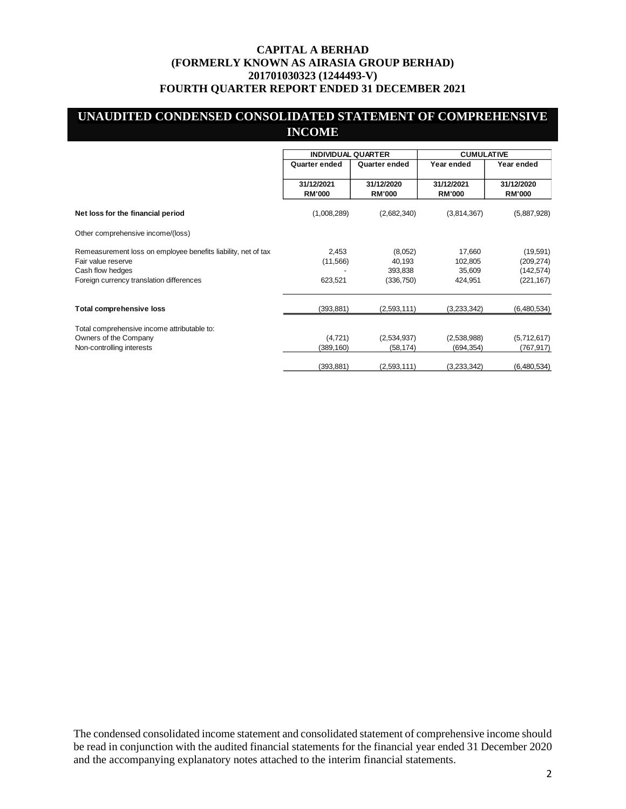# **UNAUDITED CONDENSED CONSOLIDATED STATEMENT OF COMPREHENSIVE INCOME**

|                                                               | <b>INDIVIDUAL QUARTER</b>   |                             | <b>CUMULATIVE</b>           |                             |
|---------------------------------------------------------------|-----------------------------|-----------------------------|-----------------------------|-----------------------------|
|                                                               | Quarter ended               | Quarter ended               | Year ended                  | Year ended                  |
|                                                               | 31/12/2021<br><b>RM'000</b> | 31/12/2020<br><b>RM'000</b> | 31/12/2021<br><b>RM'000</b> | 31/12/2020<br><b>RM'000</b> |
| Net loss for the financial period                             | (1,008,289)                 | (2,682,340)                 | (3,814,367)                 | (5,887,928)                 |
| Other comprehensive income/(loss)                             |                             |                             |                             |                             |
| Remeasurement loss on employee benefits liability, net of tax | 2,453                       | (8,052)                     | 17,660                      | (19, 591)                   |
| Fair value reserve                                            | (11, 566)                   | 40,193                      | 102,805                     | (209, 274)                  |
| Cash flow hedges                                              |                             | 393,838                     | 35,609                      | (142, 574)                  |
| Foreign currency translation differences                      | 623,521                     | (336, 750)                  | 424,951                     | (221, 167)                  |
| <b>Total comprehensive loss</b>                               | (393, 881)                  | (2,593,111)                 | (3,233,342)                 | (6,480,534)                 |
| Total comprehensive income attributable to:                   |                             |                             |                             |                             |
| Owners of the Company                                         | (4,721)                     | (2,534,937)                 | (2,538,988)                 | (5,712,617)                 |
| Non-controlling interests                                     | (389, 160)                  | (58, 174)                   | (694, 354)                  | (767,917)                   |
|                                                               | (393, 881)                  | (2,593,111)                 | (3,233,342)                 | (6,480,534)                 |

The condensed consolidated income statement and consolidated statement of comprehensive income should be read in conjunction with the audited financial statements for the financial year ended 31 December 2020 and the accompanying explanatory notes attached to the interim financial statements.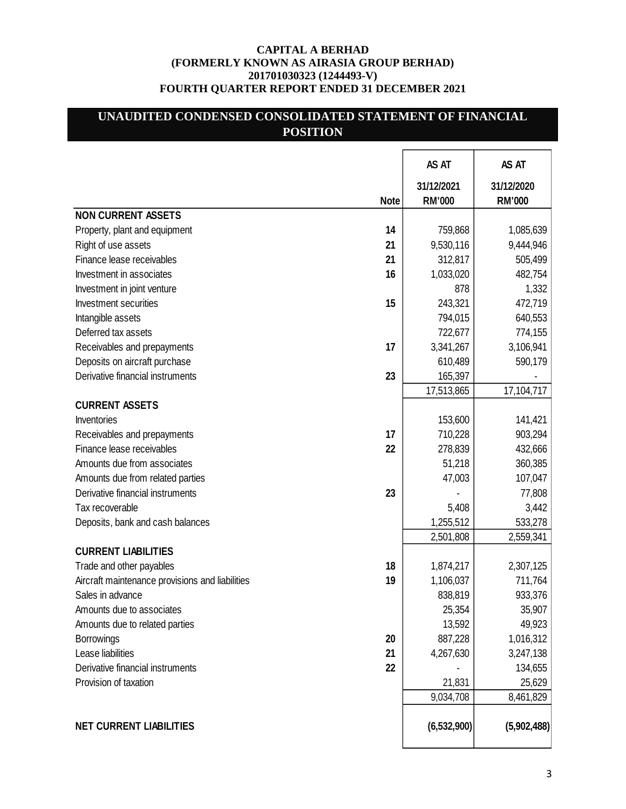# **UNAUDITED CONDENSED CONSOLIDATED STATEMENT OF FINANCIAL POSITION**

|                                                       | AS AT                       | AS AT                       |
|-------------------------------------------------------|-----------------------------|-----------------------------|
| <b>Note</b>                                           | 31/12/2021<br><b>RM'000</b> | 31/12/2020<br><b>RM'000</b> |
| <b>NON CURRENT ASSETS</b>                             |                             |                             |
| 14<br>Property, plant and equipment                   | 759,868                     | 1,085,639                   |
| Right of use assets<br>21                             | 9,530,116                   | 9,444,946                   |
| Finance lease receivables<br>21                       | 312,817                     | 505,499                     |
| 16<br>Investment in associates                        | 1,033,020                   | 482,754                     |
| Investment in joint venture                           | 878                         | 1,332                       |
| 15<br><b>Investment securities</b>                    | 243,321                     | 472,719                     |
| Intangible assets                                     | 794,015                     | 640,553                     |
| Deferred tax assets                                   | 722,677                     | 774,155                     |
| 17<br>Receivables and prepayments                     | 3,341,267                   | 3,106,941                   |
| Deposits on aircraft purchase                         | 610,489                     | 590,179                     |
| Derivative financial instruments<br>23                | 165,397                     |                             |
|                                                       | 17,513,865                  | 17,104,717                  |
| <b>CURRENT ASSETS</b>                                 |                             |                             |
| Inventories                                           | 153,600                     | 141,421                     |
| 17<br>Receivables and prepayments                     | 710,228                     | 903,294                     |
| Finance lease receivables<br>22                       | 278,839                     | 432,666                     |
| Amounts due from associates                           | 51,218                      | 360,385                     |
| Amounts due from related parties                      | 47,003                      | 107,047                     |
| 23<br>Derivative financial instruments                |                             | 77,808                      |
| Tax recoverable                                       | 5,408                       | 3,442                       |
| Deposits, bank and cash balances                      | 1,255,512                   | 533,278                     |
|                                                       | 2,501,808                   | 2,559,341                   |
| <b>CURRENT LIABILITIES</b>                            |                             |                             |
| 18<br>Trade and other payables                        | 1,874,217                   | 2,307,125                   |
| 19<br>Aircraft maintenance provisions and liabilities | 1,106,037                   | 711,764                     |
| Sales in advance                                      | 838,819                     | 933,376                     |
| Amounts due to associates                             | 25,354                      | 35,907                      |
| Amounts due to related parties                        | 13,592                      | 49,923                      |
| <b>Borrowings</b><br>20                               | 887,228                     | 1,016,312                   |
| Lease liabilities<br>21                               | 4,267,630                   | 3,247,138                   |
| Derivative financial instruments<br>22                |                             | 134,655                     |
| Provision of taxation                                 | 21,831                      | 25,629                      |
|                                                       | 9,034,708                   | 8,461,829                   |
|                                                       |                             |                             |
| <b>NET CURRENT LIABILITIES</b>                        | (6, 532, 900)               | (5,902,488)                 |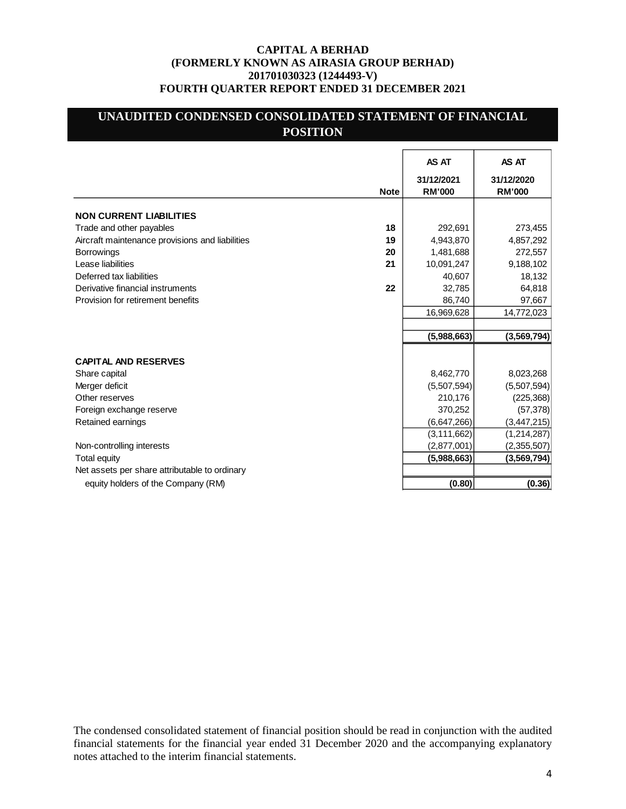# **UNAUDITED CONDENSED CONSOLIDATED STATEMENT OF FINANCIAL POSITION**

|                                                 |             | AS AT                       | AS AT                       |
|-------------------------------------------------|-------------|-----------------------------|-----------------------------|
|                                                 | <b>Note</b> | 31/12/2021<br><b>RM'000</b> | 31/12/2020<br><b>RM'000</b> |
| <b>NON CURRENT LIABILITIES</b>                  |             |                             |                             |
| Trade and other payables                        | 18          | 292,691                     | 273,455                     |
| Aircraft maintenance provisions and liabilities | 19          | 4,943,870                   | 4,857,292                   |
| <b>Borrowings</b>                               | 20          | 1,481,688                   | 272,557                     |
| Lease liabilities                               | 21          | 10,091,247                  | 9,188,102                   |
| Deferred tax liabilities                        |             | 40,607                      | 18,132                      |
| Derivative financial instruments                | 22          | 32,785                      | 64,818                      |
| Provision for retirement benefits               |             | 86,740                      | 97,667                      |
|                                                 |             | 16,969,628                  | 14,772,023                  |
|                                                 |             |                             |                             |
|                                                 |             | (5,988,663)                 | (3, 569, 794)               |
|                                                 |             |                             |                             |
| <b>CAPITAL AND RESERVES</b>                     |             |                             |                             |
| Share capital                                   |             | 8,462,770                   | 8,023,268                   |
| Merger deficit                                  |             | (5,507,594)                 | (5,507,594)                 |
| Other reserves                                  |             | 210,176                     | (225, 368)                  |
| Foreign exchange reserve                        |             | 370,252                     | (57, 378)                   |
| Retained earnings                               |             | (6,647,266)                 | (3, 447, 215)               |
|                                                 |             | (3, 111, 662)               | (1,214,287)                 |
| Non-controlling interests                       |             | (2,877,001)                 | (2,355,507)                 |
| Total equity                                    |             | (5,988,663)                 | (3, 569, 794)               |
| Net assets per share attributable to ordinary   |             |                             |                             |
| equity holders of the Company (RM)              |             | (0.80)                      | (0.36)                      |

The condensed consolidated statement of financial position should be read in conjunction with the audited financial statements for the financial year ended 31 December 2020 and the accompanying explanatory notes attached to the interim financial statements.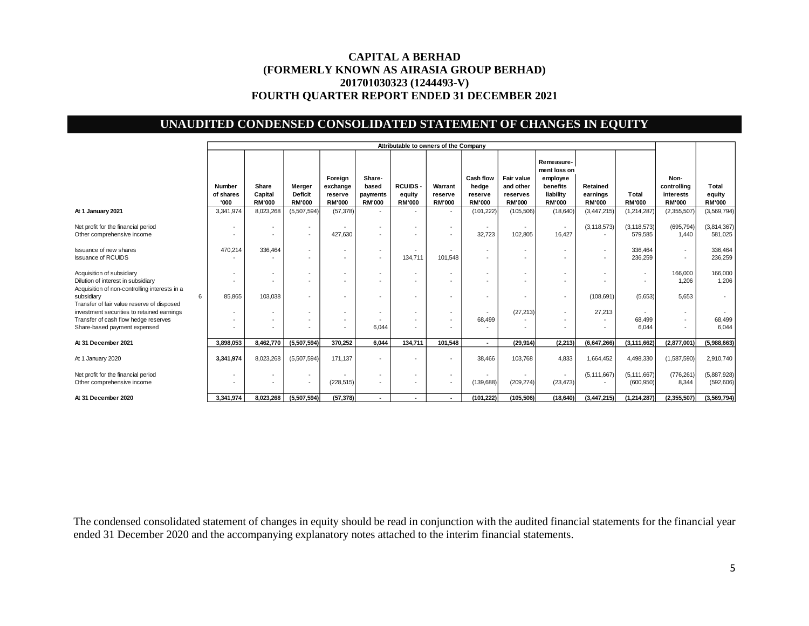# **UNAUDITED CONDENSED CONSOLIDATED STATEMENT OF CHANGES IN EQUITY**

|                                                                                                                  | Attributable to owners of the Company |                                   |                                                      |                                                      |                                              |                                                      |                                                      |                                                       |                                                      |                                                                                  |                                       |                                                      |                                                   |                                  |
|------------------------------------------------------------------------------------------------------------------|---------------------------------------|-----------------------------------|------------------------------------------------------|------------------------------------------------------|----------------------------------------------|------------------------------------------------------|------------------------------------------------------|-------------------------------------------------------|------------------------------------------------------|----------------------------------------------------------------------------------|---------------------------------------|------------------------------------------------------|---------------------------------------------------|----------------------------------|
|                                                                                                                  | <b>Number</b><br>of shares<br>'000    | Share<br>Capital<br><b>RM'000</b> | Merger<br><b>Deficit</b><br><b>RM'000</b>            | Foreign<br>exchange<br>reserve<br><b>RM'000</b>      | Share-<br>based<br>payments<br><b>RM'000</b> | <b>RCUIDS</b><br>equity<br><b>RM'000</b>             | Warrant<br>reserve<br><b>RM'000</b>                  | <b>Cash flow</b><br>hedge<br>reserve<br><b>RM'000</b> | Fair value<br>and other<br>reserves<br><b>RM'000</b> | Remeasure-<br>ment loss on<br>employee<br>benefits<br>liability<br><b>RM'000</b> | Retained<br>earnings<br><b>RM'000</b> | Total<br><b>RM'000</b>                               | Non-<br>controlling<br>interests<br><b>RM'000</b> | Total<br>equity<br><b>RM'000</b> |
| At 1 January 2021                                                                                                | 3,341,974                             | 8,023,268                         | (5,507,594)                                          | (57, 378)                                            | $\overline{\phantom{a}}$                     | $\overline{\phantom{a}}$                             | $\overline{\phantom{a}}$                             | (101, 222)                                            | (105, 506)                                           | (18, 640)                                                                        | (3, 447, 215)                         | (1,214,287)                                          | (2,355,507)                                       | (3,569,794)                      |
| Net profit for the financial period<br>Other comprehensive income                                                |                                       | ٠                                 | $\overline{\phantom{a}}$<br>$\overline{\phantom{a}}$ | 427,630                                              | $\overline{\phantom{a}}$                     | $\overline{\phantom{a}}$                             | $\overline{\phantom{a}}$                             | 32,723                                                | 102,805                                              | $\overline{\phantom{a}}$<br>16,427                                               | (3, 118, 573)                         | (3, 118, 573)<br>579,585                             | (695, 794)<br>1.440                               | (3,814,367)<br>581,025           |
| <b>Issuance of new shares</b><br><b>Issuance of RCUIDS</b>                                                       | 470,214                               | 336,464                           | $\overline{\phantom{a}}$<br>$\overline{\phantom{a}}$ | $\overline{\phantom{a}}$<br>$\overline{\phantom{a}}$ | $\sim$<br>$\overline{\phantom{a}}$           | $\overline{\phantom{a}}$<br>134,711                  | $\overline{\phantom{a}}$<br>101,548                  | $\overline{\phantom{a}}$                              |                                                      | $\overline{\phantom{a}}$                                                         | $\overline{\phantom{a}}$              | 336,464<br>236,259                                   | ٠                                                 | 336,464<br>236,259               |
| Acquisition of subsidiary<br>Dilution of interest in subsidiary<br>Acquisition of non-controlling interests in a |                                       | ٠                                 | $\overline{\phantom{a}}$                             | $\overline{\phantom{a}}$                             | $\overline{\phantom{a}}$                     | $\overline{\phantom{a}}$                             | $\overline{\phantom{a}}$                             |                                                       |                                                      |                                                                                  |                                       | $\overline{\phantom{a}}$<br>$\overline{\phantom{a}}$ | 166,000<br>1,206                                  | 166,000<br>1,206                 |
| subsidiary<br>6<br>Transfer of fair value reserve of disposed                                                    | 85,865                                | 103,038                           | $\overline{\phantom{a}}$                             | $\overline{\phantom{a}}$                             | $\overline{\phantom{a}}$                     | $\overline{\phantom{a}}$                             | $\overline{\phantom{a}}$                             |                                                       |                                                      | $\overline{a}$                                                                   | (108, 691)                            | (5,653)                                              | 5.653                                             | $\sim$                           |
| investment securities to retained earnings<br>Transfer of cash flow hedge reserves                               |                                       | ٠                                 | $\overline{\phantom{a}}$<br>$\overline{\phantom{a}}$ | $\overline{\phantom{a}}$<br>$\overline{\phantom{a}}$ | $\overline{\phantom{a}}$                     | $\overline{\phantom{a}}$<br>$\overline{\phantom{a}}$ | $\overline{\phantom{a}}$<br>$\overline{\phantom{a}}$ | 68,499                                                | (27, 213)                                            | $\overline{a}$                                                                   | 27,213                                | 68,499                                               |                                                   | 68,499                           |
| Share-based payment expensed                                                                                     |                                       | ٠                                 |                                                      |                                                      | 6,044                                        |                                                      |                                                      |                                                       |                                                      |                                                                                  |                                       | 6,044                                                |                                                   | 6,044                            |
| At 31 December 2021                                                                                              | 3,898,053                             | 8,462,770                         | (5,507,594)                                          | 370,252                                              | 6.044                                        | 134,711                                              | 101,548                                              |                                                       | (29, 914)                                            | (2, 213)                                                                         | (6,647,266)                           | (3, 111, 662)                                        | (2,877,001)                                       | (5,988,663)                      |
| At 1 January 2020                                                                                                | 3,341,974                             | 8.023.268                         | (5,507,594)                                          | 171,137                                              | $\overline{\phantom{a}}$                     |                                                      | $\overline{\phantom{a}}$                             | 38,466                                                | 103.768                                              | 4.833                                                                            | 1.664.452                             | 4,498,330                                            | (1,587,590)                                       | 2,910,740                        |
| Net profit for the financial period<br>Other comprehensive income                                                |                                       | ٠<br>٠                            | $\overline{\phantom{a}}$<br>$\overline{\phantom{a}}$ | (228, 515)                                           | $\overline{\phantom{a}}$<br>$\sim$           | $\overline{\phantom{a}}$                             | $\overline{\phantom{a}}$<br>$\overline{\phantom{a}}$ | (139, 688)                                            | (209, 274)                                           | (23, 473)                                                                        | (5, 111, 667)                         | (5, 111, 667)<br>(600, 950)                          | (776, 261)<br>8.344                               | (5,887,928)<br>(592, 606)        |
| At 31 December 2020                                                                                              | 3,341,974                             | 8,023,268                         | (5,507,594)                                          | (57, 378)                                            | ٠                                            | ٠                                                    | ٠                                                    | (101, 222)                                            | (105, 506)                                           | (18, 640)                                                                        | (3,447,215)                           | (1, 214, 287)                                        | (2, 355, 507)                                     | (3,569,794)                      |

The condensed consolidated statement of changes in equity should be read in conjunction with the audited financial statements for the financial year ended 31 December 2020 and the accompanying explanatory notes attached to the interim financial statements.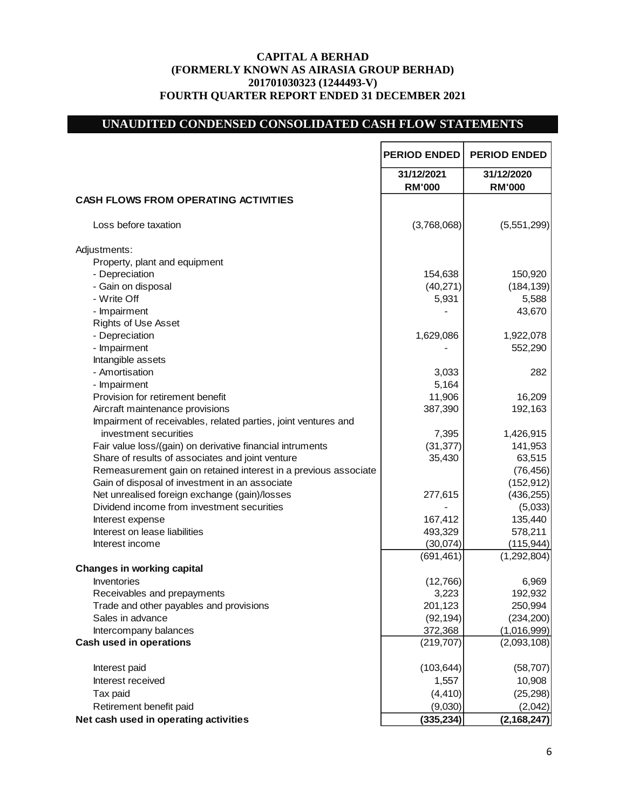# **UNAUDITED CONDENSED CONSOLIDATED CASH FLOW STATEMENTS**

|                                                                 | <b>PERIOD ENDED</b>         | <b>PERIOD ENDED</b>         |
|-----------------------------------------------------------------|-----------------------------|-----------------------------|
|                                                                 | 31/12/2021<br><b>RM'000</b> | 31/12/2020<br><b>RM'000</b> |
| <b>CASH FLOWS FROM OPERATING ACTIVITIES</b>                     |                             |                             |
| Loss before taxation                                            | (3,768,068)                 | (5,551,299)                 |
| Adjustments:                                                    |                             |                             |
| Property, plant and equipment                                   |                             |                             |
| - Depreciation                                                  | 154,638                     | 150,920                     |
| - Gain on disposal                                              | (40, 271)                   | (184, 139)                  |
| - Write Off                                                     | 5,931                       | 5,588                       |
| - Impairment                                                    |                             | 43,670                      |
| <b>Rights of Use Asset</b>                                      |                             |                             |
| - Depreciation                                                  | 1,629,086                   | 1,922,078                   |
| - Impairment                                                    |                             | 552,290                     |
| Intangible assets                                               |                             |                             |
| - Amortisation                                                  | 3,033                       | 282                         |
| - Impairment                                                    | 5,164                       |                             |
| Provision for retirement benefit                                | 11,906                      |                             |
|                                                                 |                             | 16,209                      |
| Aircraft maintenance provisions                                 | 387,390                     | 192,163                     |
| Impairment of receivables, related parties, joint ventures and  |                             |                             |
| investment securities                                           | 7,395                       | 1,426,915                   |
| Fair value loss/(gain) on derivative financial intruments       | (31, 377)                   | 141,953                     |
| Share of results of associates and joint venture                | 35,430                      | 63,515                      |
| Remeasurement gain on retained interest in a previous associate |                             | (76, 456)                   |
| Gain of disposal of investment in an associate                  |                             | (152, 912)                  |
| Net unrealised foreign exchange (gain)/losses                   | 277,615                     | (436, 255)                  |
| Dividend income from investment securities                      |                             | (5,033)                     |
| Interest expense                                                | 167,412                     | 135,440                     |
| Interest on lease liabilities                                   | 493,329                     | 578,211                     |
| Interest income                                                 | (30,074)                    | (115, 944)                  |
|                                                                 | (691, 461)                  | (1,292,804)                 |
| <b>Changes in working capital</b>                               |                             |                             |
| Inventories                                                     | (12,766)                    | 6,969                       |
| Receivables and prepayments                                     | 3,223                       | 192,932                     |
| Trade and other payables and provisions                         | 201,123                     | 250,994                     |
| Sales in advance                                                | (92, 194)                   | (234, 200)                  |
| Intercompany balances                                           | 372,368                     | (1,016,999)                 |
| <b>Cash used in operations</b>                                  | (219, 707)                  | (2,093,108)                 |
| Interest paid                                                   | (103, 644)                  | (58, 707)                   |
| Interest received                                               | 1,557                       | 10,908                      |
| Tax paid                                                        | (4, 410)                    | (25, 298)                   |
| Retirement benefit paid                                         | (9,030)                     | (2,042)                     |
| Net cash used in operating activities                           | (335, 234)                  | (2, 168, 247)               |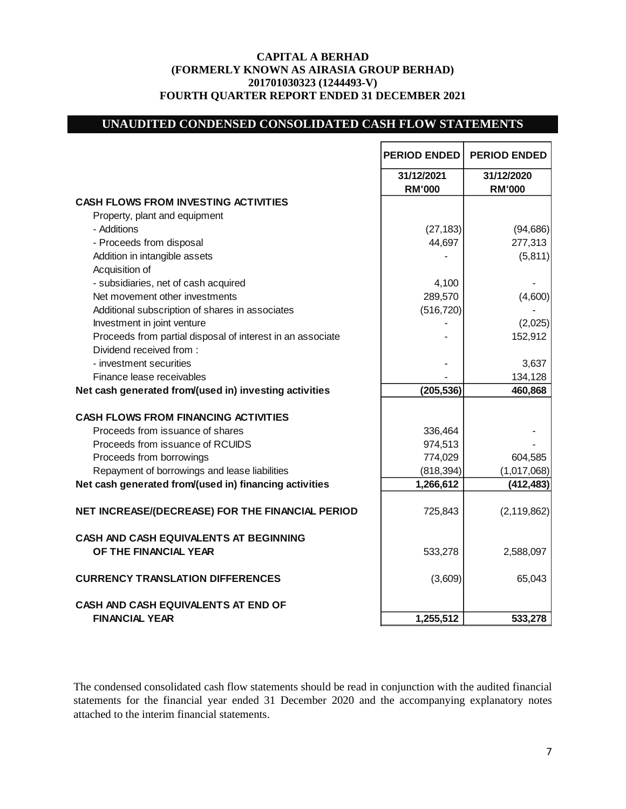# **UNAUDITED CONDENSED CONSOLIDATED CASH FLOW STATEMENTS**

|                                                            | <b>PERIOD ENDED</b>         | <b>PERIOD ENDED</b>         |
|------------------------------------------------------------|-----------------------------|-----------------------------|
|                                                            | 31/12/2021<br><b>RM'000</b> | 31/12/2020<br><b>RM'000</b> |
| <b>CASH FLOWS FROM INVESTING ACTIVITIES</b>                |                             |                             |
| Property, plant and equipment                              |                             |                             |
| - Additions                                                | (27, 183)                   | (94, 686)                   |
| - Proceeds from disposal                                   | 44,697                      | 277,313                     |
| Addition in intangible assets                              |                             | (5,811)                     |
| Acquisition of                                             |                             |                             |
| - subsidiaries, net of cash acquired                       | 4,100                       |                             |
| Net movement other investments                             | 289,570                     | (4,600)                     |
| Additional subscription of shares in associates            | (516, 720)                  |                             |
| Investment in joint venture                                |                             | (2,025)                     |
| Proceeds from partial disposal of interest in an associate |                             | 152,912                     |
| Dividend received from:                                    |                             |                             |
| - investment securities                                    |                             | 3,637                       |
| Finance lease receivables                                  |                             | 134,128                     |
| Net cash generated from/(used in) investing activities     | (205, 536)                  | 460,868                     |
| <b>CASH FLOWS FROM FINANCING ACTIVITIES</b>                |                             |                             |
| Proceeds from issuance of shares                           | 336,464                     |                             |
| Proceeds from issuance of RCUIDS                           | 974,513                     |                             |
| Proceeds from borrowings                                   | 774,029                     | 604,585                     |
| Repayment of borrowings and lease liabilities              |                             |                             |
| Net cash generated from/(used in) financing activities     | (818, 394)                  | (1,017,068)                 |
|                                                            | 1,266,612                   | (412, 483)                  |
| NET INCREASE/(DECREASE) FOR THE FINANCIAL PERIOD           | 725,843                     | (2, 119, 862)               |
| CASH AND CASH EQUIVALENTS AT BEGINNING                     |                             |                             |
| OF THE FINANCIAL YEAR                                      | 533,278                     | 2,588,097                   |
| <b>CURRENCY TRANSLATION DIFFERENCES</b>                    | (3,609)                     | 65,043                      |
| <b>CASH AND CASH EQUIVALENTS AT END OF</b>                 |                             |                             |
| <b>FINANCIAL YEAR</b>                                      | 1,255,512                   | 533,278                     |

The condensed consolidated cash flow statements should be read in conjunction with the audited financial statements for the financial year ended 31 December 2020 and the accompanying explanatory notes attached to the interim financial statements.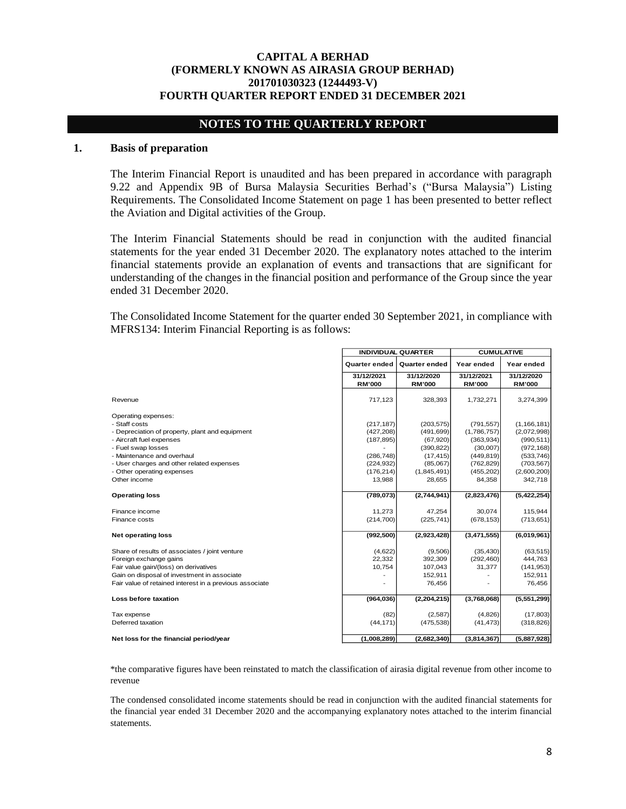# **NOTES TO THE QUARTERLY REPORT**

## **1. Basis of preparation**

The Interim Financial Report is unaudited and has been prepared in accordance with paragraph 9.22 and Appendix 9B of Bursa Malaysia Securities Berhad's ("Bursa Malaysia") Listing Requirements. The Consolidated Income Statement on page 1 has been presented to better reflect the Aviation and Digital activities of the Group.

The Interim Financial Statements should be read in conjunction with the audited financial statements for the year ended 31 December 2020. The explanatory notes attached to the interim financial statements provide an explanation of events and transactions that are significant for understanding of the changes in the financial position and performance of the Group since the year ended 31 December 2020.

The Consolidated Income Statement for the quarter ended 30 September 2021, in compliance with MFRS134: Interim Financial Reporting is as follows:

|                                                         | <b>INDIVIDUAL QUARTER</b> |                      | <b>CUMULATIVE</b> |               |  |
|---------------------------------------------------------|---------------------------|----------------------|-------------------|---------------|--|
|                                                         | Quarter ended             | <b>Quarter ended</b> | Year ended        | Year ended    |  |
|                                                         | 31/12/2021                | 31/12/2020           | 31/12/2021        | 31/12/2020    |  |
|                                                         | <b>RM'000</b>             | <b>RM'000</b>        | <b>RM'000</b>     | <b>RM'000</b> |  |
| Revenue                                                 | 717,123                   | 328,393              | 1,732,271         | 3,274,399     |  |
| Operating expenses:                                     |                           |                      |                   |               |  |
| - Staff costs                                           | (217, 187)                | (203, 575)           | (791, 557)        | (1, 166, 181) |  |
| - Depreciation of property, plant and equipment         | (427, 208)                | (491, 699)           | (1,786,757)       | (2,072,998)   |  |
| - Aircraft fuel expenses                                | (187, 895)                | (67, 920)            | (363, 934)        | (990, 511)    |  |
| - Fuel swap losses                                      |                           | (390, 822)           | (30,007)          | (972, 168)    |  |
| - Maintenance and overhaul                              | (286, 748)                | (17, 415)            | (449, 819)        | (533, 746)    |  |
| - User charges and other related expenses               | (224, 932)                | (85,067)             | (762, 829)        | (703, 567)    |  |
| - Other operating expenses                              | (176, 214)                | (1,845,491)          | (455, 202)        | (2,600,200)   |  |
| Other income                                            | 13,988                    | 28,655               | 84,358            | 342,718       |  |
|                                                         |                           |                      |                   |               |  |
| <b>Operating loss</b>                                   | (789, 073)                | (2,744,941)          | (2,823,476)       | (5,422,254)   |  |
| Finance income                                          | 11,273                    | 47,254               | 30,074            | 115,944       |  |
| Finance costs                                           | (214,700)                 | (225, 741)           | (678, 153)        | (713, 651)    |  |
|                                                         |                           |                      |                   |               |  |
| <b>Net operating loss</b>                               | (992, 500)                | (2,923,428)          | (3,471,555)       | (6,019,961)   |  |
| Share of results of associates / joint venture          | (4,622)                   | (9,506)              | (35, 430)         | (63, 515)     |  |
| Foreign exchange gains                                  | 22,332                    | 392,309              | (292, 460)        | 444,763       |  |
| Fair value gain/(loss) on derivatives                   | 10,754                    | 107,043              | 31,377            | (141, 953)    |  |
| Gain on disposal of investment in associate             |                           | 152,911              |                   | 152,911       |  |
| Fair value of retained interest in a previous associate |                           | 76,456               |                   | 76,456        |  |
| Loss before taxation                                    | (964, 036)                | (2,204,215)          | (3,768,068)       | (5,551,299)   |  |
| Tax expense                                             | (82)                      | (2,587)              | (4,826)           | (17, 803)     |  |
| Deferred taxation                                       | (44, 171)                 | (475, 538)           | (41, 473)         | (318, 826)    |  |
| Net loss for the financial period/year                  | (1,008,289)               | (2,682,340)          | (3,814,367)       | (5,887,928)   |  |

\*the comparative figures have been reinstated to match the classification of airasia digital revenue from other income to revenue

The condensed consolidated income statements should be read in conjunction with the audited financial statements for the financial year ended 31 December 2020 and the accompanying explanatory notes attached to the interim financial statements.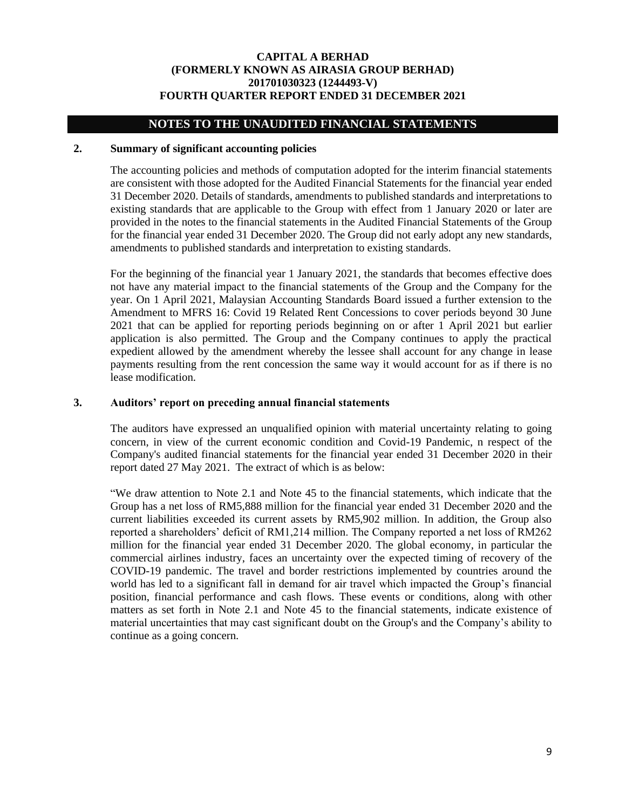## **NOTES TO THE UNAUDITED FINANCIAL STATEMENTS**

### **2. Summary of significant accounting policies**

The accounting policies and methods of computation adopted for the interim financial statements are consistent with those adopted for the Audited Financial Statements for the financial year ended 31 December 2020. Details of standards, amendments to published standards and interpretations to existing standards that are applicable to the Group with effect from 1 January 2020 or later are provided in the notes to the financial statements in the Audited Financial Statements of the Group for the financial year ended 31 December 2020. The Group did not early adopt any new standards, amendments to published standards and interpretation to existing standards.

For the beginning of the financial year 1 January 2021, the standards that becomes effective does not have any material impact to the financial statements of the Group and the Company for the year. On 1 April 2021, Malaysian Accounting Standards Board issued a further extension to the Amendment to MFRS 16: Covid 19 Related Rent Concessions to cover periods beyond 30 June 2021 that can be applied for reporting periods beginning on or after 1 April 2021 but earlier application is also permitted. The Group and the Company continues to apply the practical expedient allowed by the amendment whereby the lessee shall account for any change in lease payments resulting from the rent concession the same way it would account for as if there is no lease modification.

#### **3. Auditors' report on preceding annual financial statements**

The auditors have expressed an unqualified opinion with material uncertainty relating to going concern, in view of the current economic condition and Covid-19 Pandemic, n respect of the Company's audited financial statements for the financial year ended 31 December 2020 in their report dated 27 May 2021. The extract of which is as below:

"We draw attention to Note 2.1 and Note 45 to the financial statements, which indicate that the Group has a net loss of RM5,888 million for the financial year ended 31 December 2020 and the current liabilities exceeded its current assets by RM5,902 million. In addition, the Group also reported a shareholders' deficit of RM1,214 million. The Company reported a net loss of RM262 million for the financial year ended 31 December 2020. The global economy, in particular the commercial airlines industry, faces an uncertainty over the expected timing of recovery of the COVID-19 pandemic. The travel and border restrictions implemented by countries around the world has led to a significant fall in demand for air travel which impacted the Group's financial position, financial performance and cash flows. These events or conditions, along with other matters as set forth in Note 2.1 and Note 45 to the financial statements, indicate existence of material uncertainties that may cast significant doubt on the Group's and the Company's ability to continue as a going concern.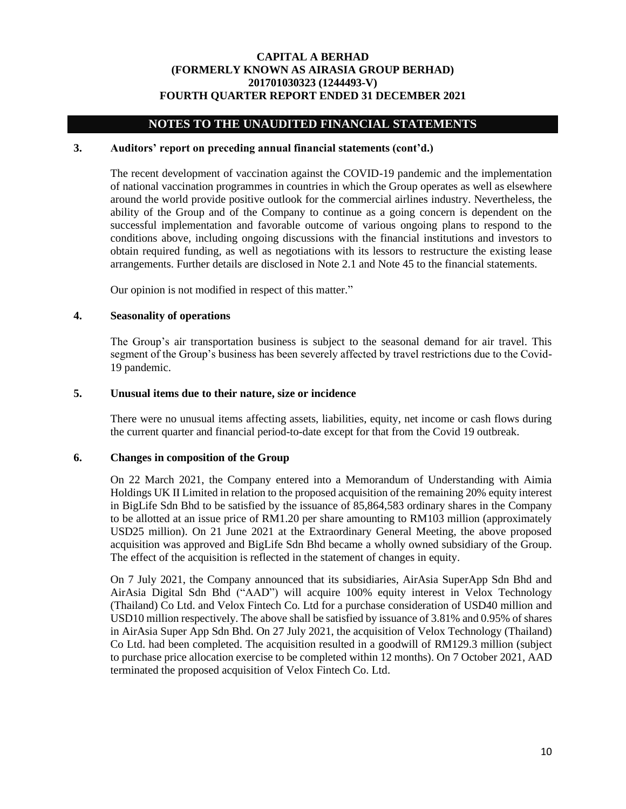## **NOTES TO THE UNAUDITED FINANCIAL STATEMENTS**

## **3. Auditors' report on preceding annual financial statements (cont'd.)**

The recent development of vaccination against the COVID-19 pandemic and the implementation of national vaccination programmes in countries in which the Group operates as well as elsewhere around the world provide positive outlook for the commercial airlines industry. Nevertheless, the ability of the Group and of the Company to continue as a going concern is dependent on the successful implementation and favorable outcome of various ongoing plans to respond to the conditions above, including ongoing discussions with the financial institutions and investors to obtain required funding, as well as negotiations with its lessors to restructure the existing lease arrangements. Further details are disclosed in Note 2.1 and Note 45 to the financial statements.

Our opinion is not modified in respect of this matter."

#### **4. Seasonality of operations**

The Group's air transportation business is subject to the seasonal demand for air travel. This segment of the Group's business has been severely affected by travel restrictions due to the Covid-19 pandemic.

#### **5. Unusual items due to their nature, size or incidence**

There were no unusual items affecting assets, liabilities, equity, net income or cash flows during the current quarter and financial period-to-date except for that from the Covid 19 outbreak.

### **6. Changes in composition of the Group**

On 22 March 2021, the Company entered into a Memorandum of Understanding with Aimia Holdings UK II Limited in relation to the proposed acquisition of the remaining 20% equity interest in BigLife Sdn Bhd to be satisfied by the issuance of 85,864,583 ordinary shares in the Company to be allotted at an issue price of RM1.20 per share amounting to RM103 million (approximately USD25 million). On 21 June 2021 at the Extraordinary General Meeting, the above proposed acquisition was approved and BigLife Sdn Bhd became a wholly owned subsidiary of the Group. The effect of the acquisition is reflected in the statement of changes in equity.

On 7 July 2021, the Company announced that its subsidiaries, AirAsia SuperApp Sdn Bhd and AirAsia Digital Sdn Bhd ("AAD") will acquire 100% equity interest in Velox Technology (Thailand) Co Ltd. and Velox Fintech Co. Ltd for a purchase consideration of USD40 million and USD10 million respectively. The above shall be satisfied by issuance of 3.81% and 0.95% of shares in AirAsia Super App Sdn Bhd. On 27 July 2021, the acquisition of Velox Technology (Thailand) Co Ltd. had been completed. The acquisition resulted in a goodwill of RM129.3 million (subject to purchase price allocation exercise to be completed within 12 months). On 7 October 2021, AAD terminated the proposed acquisition of Velox Fintech Co. Ltd.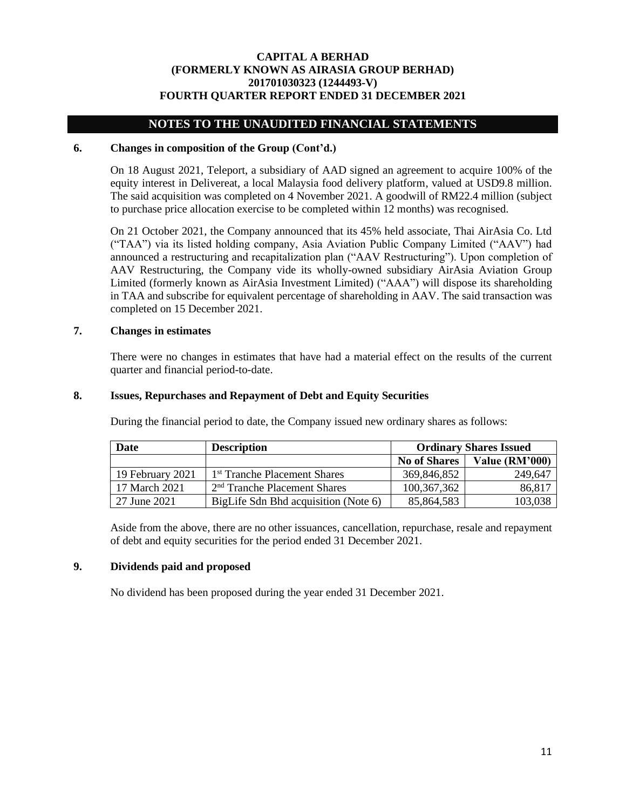## **NOTES TO THE UNAUDITED FINANCIAL STATEMENTS**

## **6. Changes in composition of the Group (Cont'd.)**

On 18 August 2021, Teleport, a subsidiary of AAD signed an agreement to acquire 100% of the equity interest in Delivereat, a local Malaysia food delivery platform, valued at USD9.8 million. The said acquisition was completed on 4 November 2021. A goodwill of RM22.4 million (subject to purchase price allocation exercise to be completed within 12 months) was recognised.

On 21 October 2021, the Company announced that its 45% held associate, Thai AirAsia Co. Ltd ("TAA") via its listed holding company, Asia Aviation Public Company Limited ("AAV") had announced a restructuring and recapitalization plan ("AAV Restructuring"). Upon completion of AAV Restructuring, the Company vide its wholly-owned subsidiary AirAsia Aviation Group Limited (formerly known as AirAsia Investment Limited) ("AAA") will dispose its shareholding in TAA and subscribe for equivalent percentage of shareholding in AAV. The said transaction was completed on 15 December 2021.

#### **7. Changes in estimates**

There were no changes in estimates that have had a material effect on the results of the current quarter and financial period-to-date.

#### **8. Issues, Repurchases and Repayment of Debt and Equity Securities**

During the financial period to date, the Company issued new ordinary shares as follows:

| Date             | <b>Description</b>                       |                     | <b>Ordinary Shares Issued</b> |
|------------------|------------------------------------------|---------------------|-------------------------------|
|                  |                                          | <b>No of Shares</b> | Value (RM'000)                |
| 19 February 2021 | 1 <sup>st</sup> Tranche Placement Shares | 369,846,852         | 249,647                       |
| 17 March 2021    | $2nd$ Tranche Placement Shares           | 100, 367, 362       | 86,817                        |
| 27 June 2021     | BigLife Sdn Bhd acquisition (Note 6)     | 85,864,583          | 103,038                       |

Aside from the above, there are no other issuances, cancellation, repurchase, resale and repayment of debt and equity securities for the period ended 31 December 2021.

#### **9. Dividends paid and proposed**

No dividend has been proposed during the year ended 31 December 2021.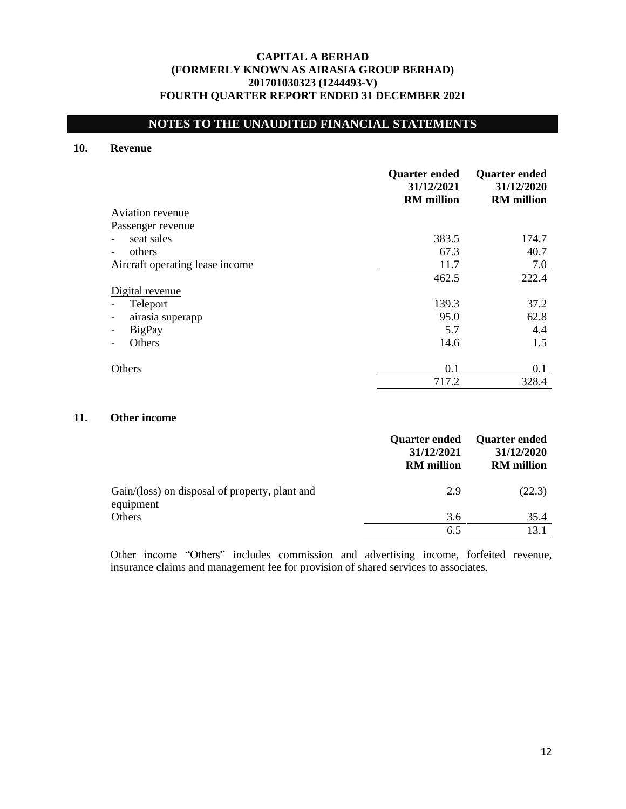# **NOTES TO THE UNAUDITED FINANCIAL STATEMENTS**

## **10. Revenue**

|                                 | <b>Quarter ended</b><br>31/12/2021<br><b>RM</b> million | <b>Quarter ended</b><br>31/12/2020<br><b>RM</b> million |
|---------------------------------|---------------------------------------------------------|---------------------------------------------------------|
| Aviation revenue                |                                                         |                                                         |
| Passenger revenue               |                                                         |                                                         |
| seat sales                      | 383.5                                                   | 174.7                                                   |
| others                          | 67.3                                                    | 40.7                                                    |
| Aircraft operating lease income | 11.7                                                    | 7.0                                                     |
|                                 | 462.5                                                   | 222.4                                                   |
| Digital revenue                 |                                                         |                                                         |
| Teleport                        | 139.3                                                   | 37.2                                                    |
| airasia superapp                | 95.0                                                    | 62.8                                                    |
| BigPay                          | 5.7                                                     | 4.4                                                     |
| Others                          | 14.6                                                    | 1.5                                                     |
| <b>Others</b>                   | 0.1                                                     | 0.1                                                     |
|                                 | 717.2                                                   | 328.4                                                   |

## **11. Other income**

|                                                             | <b>Quarter ended</b><br>31/12/2021<br><b>RM</b> million | <b>Quarter ended</b><br>31/12/2020<br><b>RM</b> million |
|-------------------------------------------------------------|---------------------------------------------------------|---------------------------------------------------------|
| Gain/(loss) on disposal of property, plant and<br>equipment | 2.9                                                     | (22.3)                                                  |
| Others                                                      | 3.6                                                     | 35.4                                                    |
|                                                             | 6.5                                                     | 13.1                                                    |

Other income "Others" includes commission and advertising income, forfeited revenue, insurance claims and management fee for provision of shared services to associates.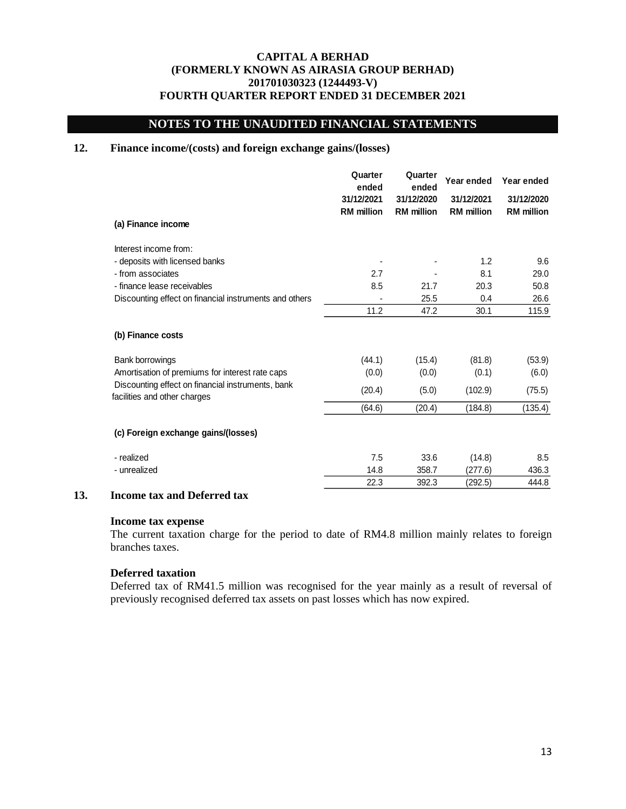## **NOTES TO THE UNAUDITED FINANCIAL STATEMENTS**

## **12. Finance income/(costs) and foreign exchange gains/(losses)**

|                                                                                   | Quarter<br>ended                | Quarter<br>ended                | Year ended                      | Year ended                      |
|-----------------------------------------------------------------------------------|---------------------------------|---------------------------------|---------------------------------|---------------------------------|
|                                                                                   | 31/12/2021<br><b>RM</b> million | 31/12/2020<br><b>RM</b> million | 31/12/2021<br><b>RM</b> million | 31/12/2020<br><b>RM</b> million |
| (a) Finance income                                                                |                                 |                                 |                                 |                                 |
| Interest income from:                                                             |                                 |                                 |                                 |                                 |
| - deposits with licensed banks                                                    |                                 |                                 | 1.2                             | 9.6                             |
| - from associates                                                                 | 2.7                             |                                 | 8.1                             | 29.0                            |
| - finance lease receivables                                                       | 8.5                             | 21.7                            | 20.3                            | 50.8                            |
| Discounting effect on financial instruments and others                            |                                 | 25.5                            | 0.4                             | 26.6                            |
|                                                                                   | 11.2                            | 47.2                            | 30.1                            | 115.9                           |
| (b) Finance costs                                                                 |                                 |                                 |                                 |                                 |
| Bank borrowings                                                                   | (44.1)                          | (15.4)                          | (81.8)                          | (53.9)                          |
| Amortisation of premiums for interest rate caps                                   | (0.0)                           | (0.0)                           | (0.1)                           | (6.0)                           |
| Discounting effect on financial instruments, bank<br>facilities and other charges | (20.4)                          | (5.0)                           | (102.9)                         | (75.5)                          |
|                                                                                   | (64.6)                          | (20.4)                          | (184.8)                         | (135.4)                         |
| (c) Foreign exchange gains/(losses)                                               |                                 |                                 |                                 |                                 |
| - realized                                                                        | 7.5                             | 33.6                            | (14.8)                          | 8.5                             |
| - unrealized                                                                      | 14.8                            | 358.7                           | (277.6)                         | 436.3                           |
|                                                                                   | 22.3                            | 392.3                           | (292.5)                         | 444.8                           |

## **13. Income tax and Deferred tax**

#### **Income tax expense**

The current taxation charge for the period to date of RM4.8 million mainly relates to foreign branches taxes.

### **Deferred taxation**

Deferred tax of RM41.5 million was recognised for the year mainly as a result of reversal of previously recognised deferred tax assets on past losses which has now expired.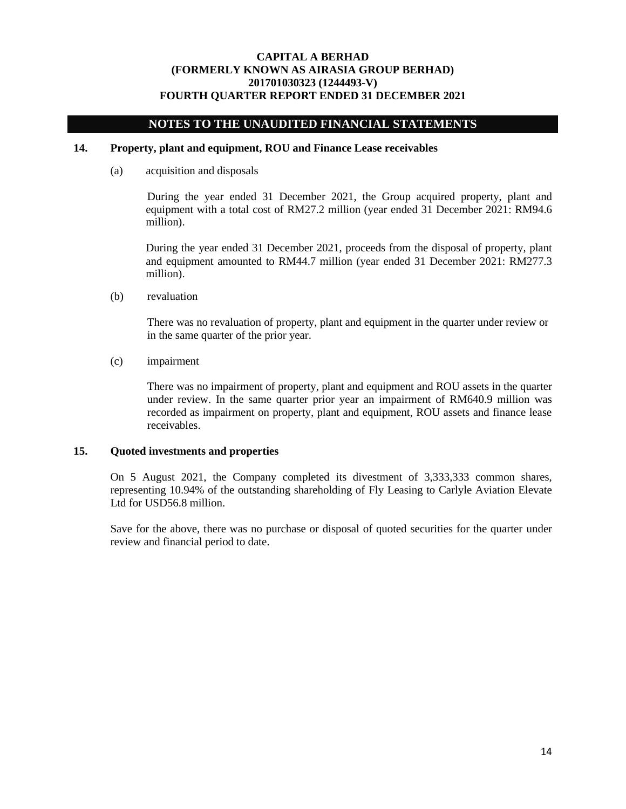## **NOTES TO THE UNAUDITED FINANCIAL STATEMENTS**

## **14. Property, plant and equipment, ROU and Finance Lease receivables**

(a) acquisition and disposals

During the year ended 31 December 2021, the Group acquired property, plant and equipment with a total cost of RM27.2 million (year ended 31 December 2021: RM94.6 million).

During the year ended 31 December 2021, proceeds from the disposal of property, plant and equipment amounted to RM44.7 million (year ended 31 December 2021: RM277.3 million).

(b) revaluation

There was no revaluation of property, plant and equipment in the quarter under review or in the same quarter of the prior year.

(c) impairment

There was no impairment of property, plant and equipment and ROU assets in the quarter under review. In the same quarter prior year an impairment of RM640.9 million was recorded as impairment on property, plant and equipment, ROU assets and finance lease receivables.

#### **15. Quoted investments and properties**

On 5 August 2021, the Company completed its divestment of 3,333,333 common shares, representing 10.94% of the outstanding shareholding of Fly Leasing to Carlyle Aviation Elevate Ltd for USD56.8 million.

Save for the above, there was no purchase or disposal of quoted securities for the quarter under review and financial period to date.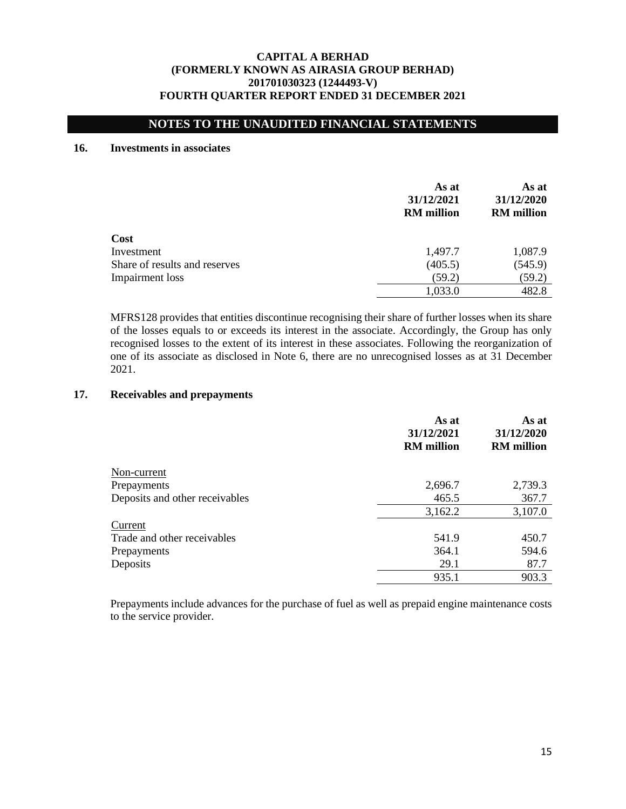## **NOTES TO THE UNAUDITED FINANCIAL STATEMENTS**

### **16. Investments in associates**

|                               | As at<br>31/12/2021<br><b>RM</b> million | As at<br>31/12/2020<br><b>RM</b> million |
|-------------------------------|------------------------------------------|------------------------------------------|
| Cost                          |                                          |                                          |
| Investment                    | 1,497.7                                  | 1,087.9                                  |
| Share of results and reserves | (405.5)                                  | (545.9)                                  |
| Impairment loss               | (59.2)                                   | (59.2)                                   |
|                               | 1,033.0                                  | 482.8                                    |

MFRS128 provides that entities discontinue recognising their share of further losses when its share of the losses equals to or exceeds its interest in the associate. Accordingly, the Group has only recognised losses to the extent of its interest in these associates. Following the reorganization of one of its associate as disclosed in Note 6, there are no unrecognised losses as at 31 December 2021.

## **17. Receivables and prepayments**

|                                | As at<br>31/12/2021<br><b>RM</b> million | As at<br>31/12/2020<br><b>RM</b> million |
|--------------------------------|------------------------------------------|------------------------------------------|
| Non-current                    |                                          |                                          |
| Prepayments                    | 2,696.7                                  | 2,739.3                                  |
| Deposits and other receivables | 465.5                                    | 367.7                                    |
|                                | 3,162.2                                  | 3,107.0                                  |
| Current                        |                                          |                                          |
| Trade and other receivables    | 541.9                                    | 450.7                                    |
| Prepayments                    | 364.1                                    | 594.6                                    |
| Deposits                       | 29.1                                     | 87.7                                     |
|                                | 935.1                                    | 903.3                                    |

Prepayments include advances for the purchase of fuel as well as prepaid engine maintenance costs to the service provider.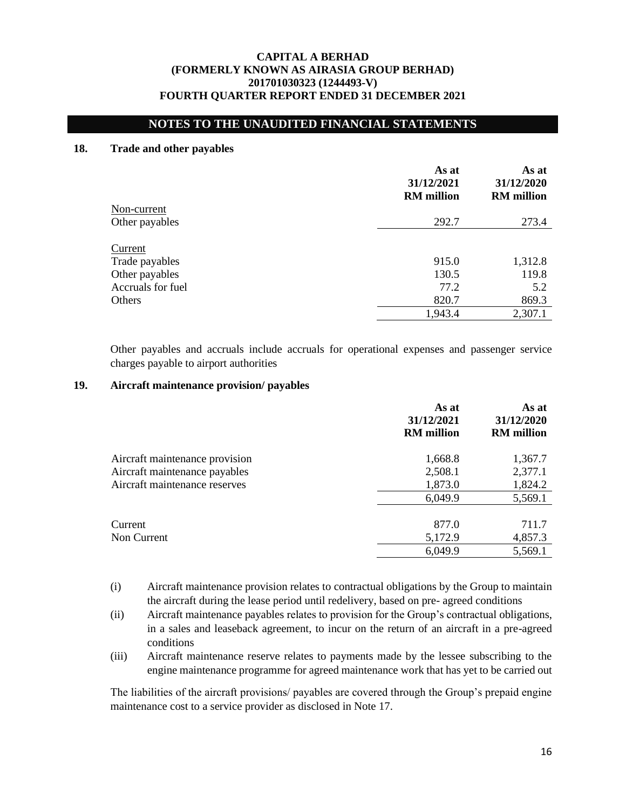## **NOTES TO THE UNAUDITED FINANCIAL STATEMENTS**

#### **18. Trade and other payables**

|                   | As at<br>31/12/2021<br><b>RM</b> million | As at<br>31/12/2020<br><b>RM</b> million |
|-------------------|------------------------------------------|------------------------------------------|
| Non-current       |                                          |                                          |
| Other payables    | 292.7                                    | 273.4                                    |
| Current           |                                          |                                          |
| Trade payables    | 915.0                                    | 1,312.8                                  |
| Other payables    | 130.5                                    | 119.8                                    |
| Accruals for fuel | 77.2                                     | 5.2                                      |
| Others            | 820.7                                    | 869.3                                    |
|                   | 1,943.4                                  | 2,307.1                                  |

Other payables and accruals include accruals for operational expenses and passenger service charges payable to airport authorities

#### **19. Aircraft maintenance provision/ payables**

|                                | As at<br>31/12/2021<br><b>RM</b> million | As at<br>31/12/2020<br><b>RM</b> million |
|--------------------------------|------------------------------------------|------------------------------------------|
| Aircraft maintenance provision | 1,668.8                                  | 1,367.7                                  |
| Aircraft maintenance payables  | 2,508.1                                  | 2,377.1                                  |
| Aircraft maintenance reserves  | 1,873.0                                  | 1,824.2                                  |
|                                | 6,049.9                                  | 5,569.1                                  |
| Current                        | 877.0                                    | 711.7                                    |
| Non Current                    | 5,172.9                                  | 4,857.3                                  |
|                                | 6,049.9                                  | 5,569.1                                  |

- (i) Aircraft maintenance provision relates to contractual obligations by the Group to maintain the aircraft during the lease period until redelivery, based on pre- agreed conditions
- (ii) Aircraft maintenance payables relates to provision for the Group's contractual obligations, in a sales and leaseback agreement, to incur on the return of an aircraft in a pre-agreed conditions
- (iii) Aircraft maintenance reserve relates to payments made by the lessee subscribing to the engine maintenance programme for agreed maintenance work that has yet to be carried out

The liabilities of the aircraft provisions/ payables are covered through the Group's prepaid engine maintenance cost to a service provider as disclosed in Note 17.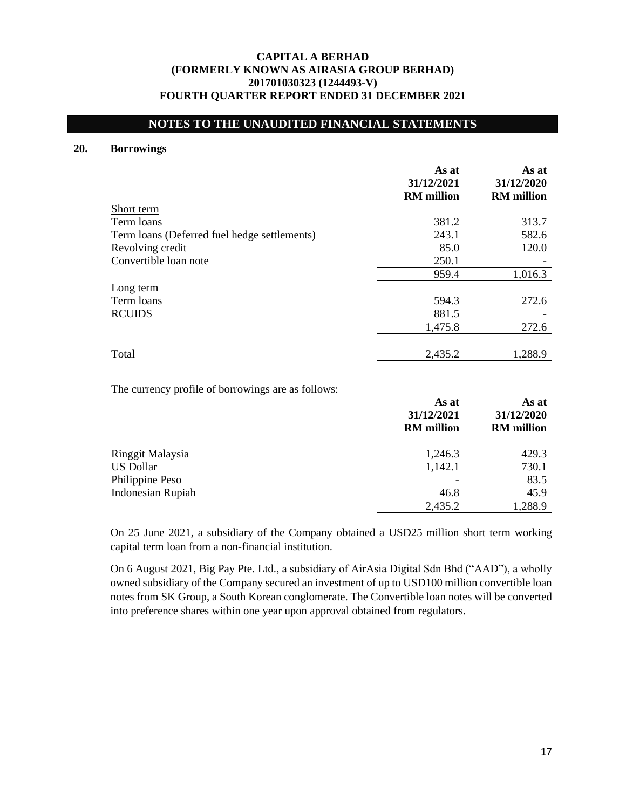## **NOTES TO THE UNAUDITED FINANCIAL STATEMENTS**

## **20. Borrowings**

| As at<br>31/12/2020<br><b>RM</b> million |
|------------------------------------------|
|                                          |
| 313.7                                    |
| 582.6                                    |
| 120.0                                    |
|                                          |
| 1,016.3                                  |
|                                          |
| 272.6                                    |
|                                          |
| 272.6                                    |
| 1,288.9                                  |
|                                          |

The currency profile of borrowings are as follows:

|                          | As at<br>31/12/2021<br><b>RM</b> million | As at<br>31/12/2020<br><b>RM</b> million |
|--------------------------|------------------------------------------|------------------------------------------|
| Ringgit Malaysia         | 1,246.3                                  | 429.3                                    |
| <b>US Dollar</b>         | 1,142.1                                  | 730.1                                    |
| Philippine Peso          |                                          | 83.5                                     |
| <b>Indonesian Rupiah</b> | 46.8                                     | 45.9                                     |
|                          | 2,435.2                                  | 1,288.9                                  |

On 25 June 2021, a subsidiary of the Company obtained a USD25 million short term working capital term loan from a non-financial institution.

On 6 August 2021, Big Pay Pte. Ltd., a subsidiary of AirAsia Digital Sdn Bhd ("AAD"), a wholly owned subsidiary of the Company secured an investment of up to USD100 million convertible loan notes from SK Group, a South Korean conglomerate. The Convertible loan notes will be converted into preference shares within one year upon approval obtained from regulators.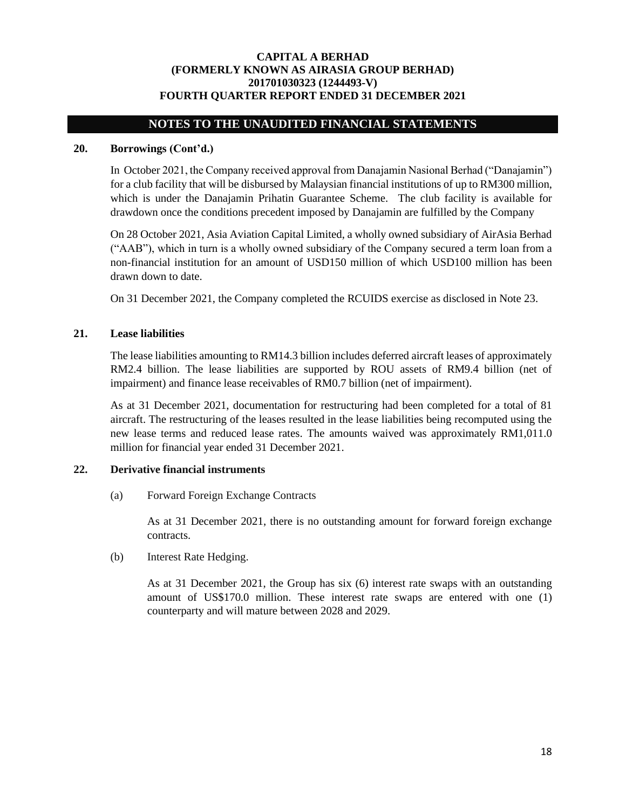## **NOTES TO THE UNAUDITED FINANCIAL STATEMENTS**

## **20. Borrowings (Cont'd.)**

In October 2021, the Company received approval from Danajamin Nasional Berhad ("Danajamin") for a club facility that will be disbursed by Malaysian financial institutions of up to RM300 million, which is under the Danajamin Prihatin Guarantee Scheme. The club facility is available for drawdown once the conditions precedent imposed by Danajamin are fulfilled by the Company

On 28 October 2021, Asia Aviation Capital Limited, a wholly owned subsidiary of AirAsia Berhad ("AAB"), which in turn is a wholly owned subsidiary of the Company secured a term loan from a non-financial institution for an amount of USD150 million of which USD100 million has been drawn down to date.

On 31 December 2021, the Company completed the RCUIDS exercise as disclosed in Note 23.

#### **21. Lease liabilities**

The lease liabilities amounting to RM14.3 billion includes deferred aircraft leases of approximately RM2.4 billion. The lease liabilities are supported by ROU assets of RM9.4 billion (net of impairment) and finance lease receivables of RM0.7 billion (net of impairment).

As at 31 December 2021, documentation for restructuring had been completed for a total of 81 aircraft. The restructuring of the leases resulted in the lease liabilities being recomputed using the new lease terms and reduced lease rates. The amounts waived was approximately RM1,011.0 million for financial year ended 31 December 2021.

## **22. Derivative financial instruments**

(a) Forward Foreign Exchange Contracts

As at 31 December 2021, there is no outstanding amount for forward foreign exchange contracts.

(b) Interest Rate Hedging.

As at 31 December 2021, the Group has six (6) interest rate swaps with an outstanding amount of US\$170.0 million. These interest rate swaps are entered with one (1) counterparty and will mature between 2028 and 2029.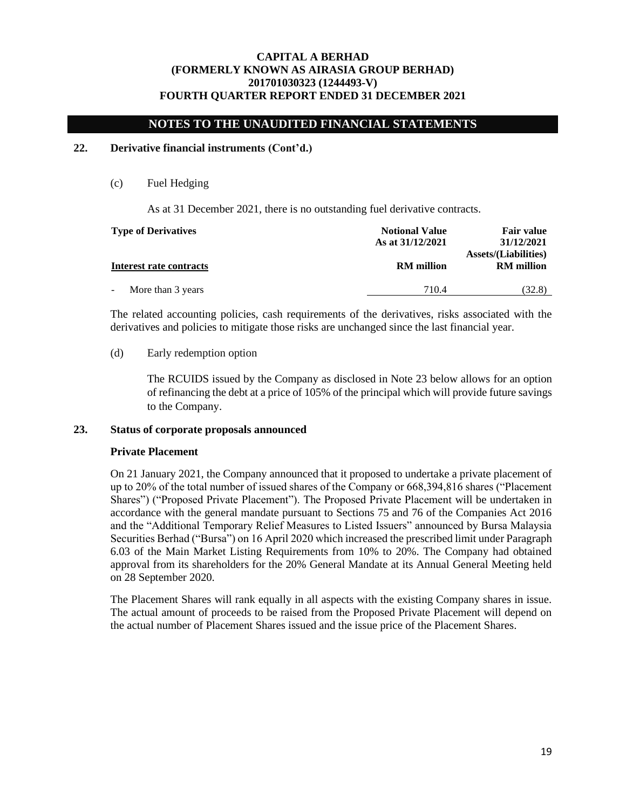## **NOTES TO THE UNAUDITED FINANCIAL STATEMENTS**

## **22. Derivative financial instruments (Cont'd.)**

(c) Fuel Hedging

As at 31 December 2021, there is no outstanding fuel derivative contracts.

| <b>Type of Derivatives</b> | <b>Notional Value</b><br>As at 31/12/2021 | <b>Fair value</b><br>31/12/2021                  |  |
|----------------------------|-------------------------------------------|--------------------------------------------------|--|
| Interest rate contracts    | <b>RM</b> million                         | <b>Assets/(Liabilities)</b><br><b>RM</b> million |  |
| - More than 3 years        | 710.4                                     | (32.8)                                           |  |

The related accounting policies, cash requirements of the derivatives, risks associated with the derivatives and policies to mitigate those risks are unchanged since the last financial year.

(d) Early redemption option

The RCUIDS issued by the Company as disclosed in Note 23 below allows for an option of refinancing the debt at a price of 105% of the principal which will provide future savings to the Company.

#### **23. Status of corporate proposals announced**

#### **Private Placement**

On 21 January 2021, the Company announced that it proposed to undertake a private placement of up to 20% of the total number of issued shares of the Company or 668,394,816 shares ("Placement Shares") ("Proposed Private Placement"). The Proposed Private Placement will be undertaken in accordance with the general mandate pursuant to Sections 75 and 76 of the Companies Act 2016 and the "Additional Temporary Relief Measures to Listed Issuers" announced by Bursa Malaysia Securities Berhad ("Bursa") on 16 April 2020 which increased the prescribed limit under Paragraph 6.03 of the Main Market Listing Requirements from 10% to 20%. The Company had obtained approval from its shareholders for the 20% General Mandate at its Annual General Meeting held on 28 September 2020.

The Placement Shares will rank equally in all aspects with the existing Company shares in issue. The actual amount of proceeds to be raised from the Proposed Private Placement will depend on the actual number of Placement Shares issued and the issue price of the Placement Shares.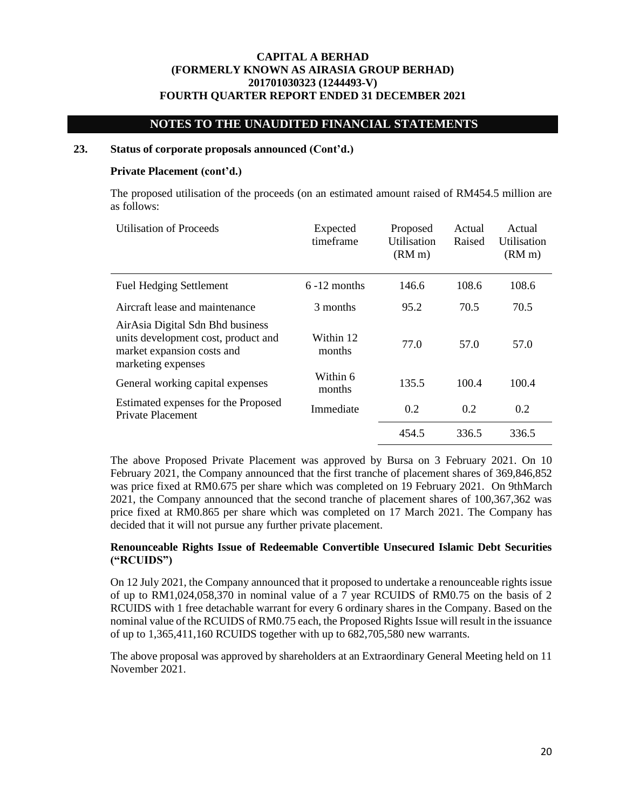## **NOTES TO THE UNAUDITED FINANCIAL STATEMENTS**

### **23. Status of corporate proposals announced (Cont'd.)**

#### **Private Placement (cont'd.)**

The proposed utilisation of the proceeds (on an estimated amount raised of RM454.5 million are as follows:

| <b>Utilisation of Proceeds</b>                                                                                              | Expected<br>timeframe | Proposed<br>Utilisation<br>(RM <sub>m</sub> ) | Actual<br>Raised | Actual<br>Utilisation<br>(RM <sub>m</sub> ) |
|-----------------------------------------------------------------------------------------------------------------------------|-----------------------|-----------------------------------------------|------------------|---------------------------------------------|
| <b>Fuel Hedging Settlement</b>                                                                                              | $6 - 12$ months       | 146.6                                         | 108.6            | 108.6                                       |
| Aircraft lease and maintenance                                                                                              | 3 months              | 95.2                                          | 70.5             | 70.5                                        |
| AirAsia Digital Sdn Bhd business<br>units development cost, product and<br>market expansion costs and<br>marketing expenses | Within 12<br>months   | 77.0                                          | 57.0             | 57.0                                        |
| General working capital expenses                                                                                            | Within 6<br>months    | 135.5                                         | 100.4            | 100.4                                       |
| Estimated expenses for the Proposed<br>Private Placement                                                                    | Immediate             | 0.2                                           | 0.2              | 0.2                                         |
|                                                                                                                             |                       | 454.5                                         | 336.5            | 336.5                                       |

The above Proposed Private Placement was approved by Bursa on 3 February 2021. On 10 February 2021, the Company announced that the first tranche of placement shares of 369,846,852 was price fixed at RM0.675 per share which was completed on 19 February 2021. On 9thMarch 2021, the Company announced that the second tranche of placement shares of 100,367,362 was price fixed at RM0.865 per share which was completed on 17 March 2021. The Company has decided that it will not pursue any further private placement.

### **Renounceable Rights Issue of Redeemable Convertible Unsecured Islamic Debt Securities ("RCUIDS")**

On 12 July 2021, the Company announced that it proposed to undertake a renounceable rights issue of up to RM1,024,058,370 in nominal value of a 7 year RCUIDS of RM0.75 on the basis of 2 RCUIDS with 1 free detachable warrant for every 6 ordinary shares in the Company. Based on the nominal value of the RCUIDS of RM0.75 each, the Proposed Rights Issue will result in the issuance of up to 1,365,411,160 RCUIDS together with up to 682,705,580 new warrants.

The above proposal was approved by shareholders at an Extraordinary General Meeting held on 11 November 2021.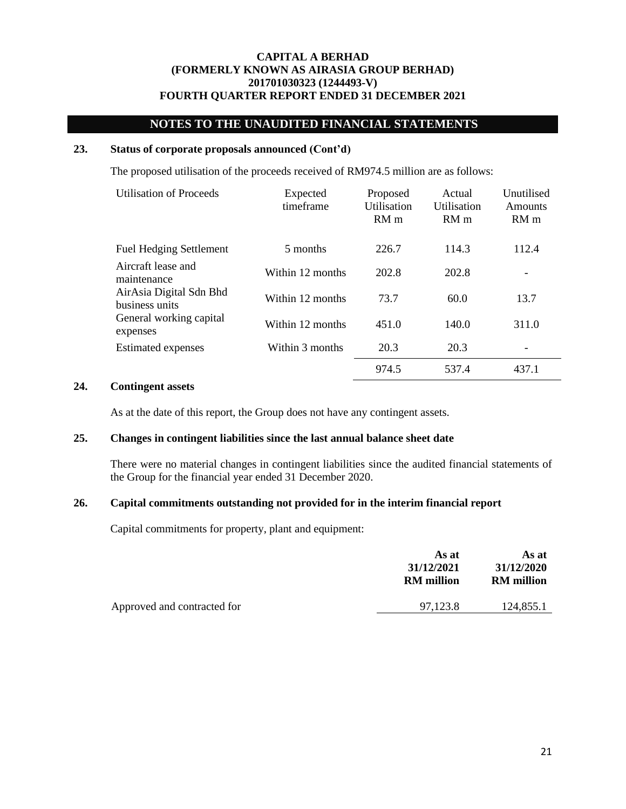# **NOTES TO THE UNAUDITED FINANCIAL STATEMENTS**

#### **23. Status of corporate proposals announced (Cont'd)**

The proposed utilisation of the proceeds received of RM974.5 million are as follows:

| Utilisation of Proceeds                   | Expected<br>timeframe | Proposed<br>Utilisation<br>RM <sub>m</sub> | Actual<br>Utilisation<br>RM <sub>m</sub> | Unutilised<br>Amounts<br>RM <sub>m</sub> |
|-------------------------------------------|-----------------------|--------------------------------------------|------------------------------------------|------------------------------------------|
| <b>Fuel Hedging Settlement</b>            | 5 months              | 226.7                                      | 114.3                                    | 112.4                                    |
| Aircraft lease and<br>maintenance         | Within 12 months      | 202.8                                      | 202.8                                    |                                          |
| AirAsia Digital Sdn Bhd<br>business units | Within 12 months      | 73.7                                       | 60.0                                     | 13.7                                     |
| General working capital<br>expenses       | Within 12 months      | 451.0                                      | 140.0                                    | 311.0                                    |
| <b>Estimated expenses</b>                 | Within 3 months       | 20.3                                       | 20.3                                     |                                          |
|                                           |                       | 974.5                                      | 537.4                                    | 437.1                                    |

#### **24. Contingent assets**

As at the date of this report, the Group does not have any contingent assets.

## **25. Changes in contingent liabilities since the last annual balance sheet date**

There were no material changes in contingent liabilities since the audited financial statements of the Group for the financial year ended 31 December 2020.

### **26. Capital commitments outstanding not provided for in the interim financial report**

Capital commitments for property, plant and equipment:

| As at<br>31/12/2021<br><b>RM</b> million | As at<br>31/12/2020<br><b>RM</b> million |
|------------------------------------------|------------------------------------------|
| 97,123.8                                 | 124,855.1                                |
|                                          |                                          |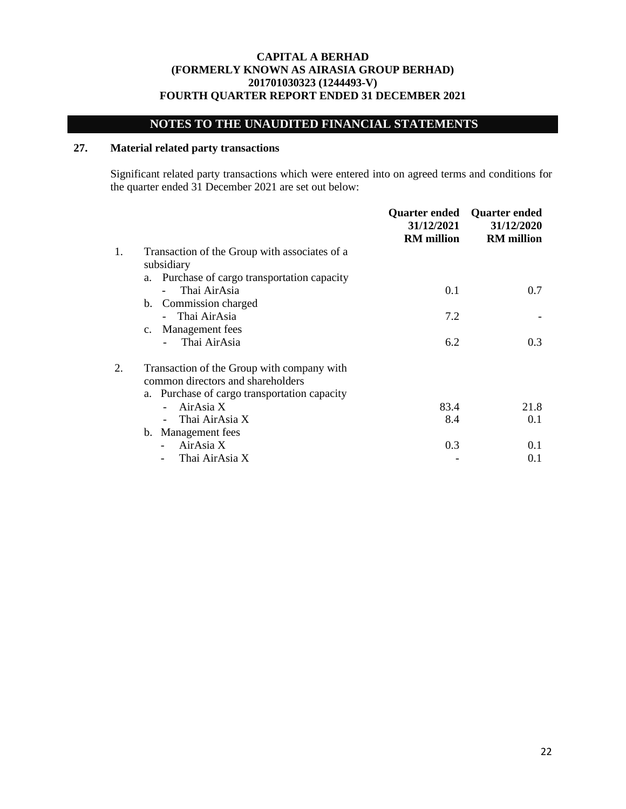# **NOTES TO THE UNAUDITED FINANCIAL STATEMENTS**

# **27. Material related party transactions**

Significant related party transactions which were entered into on agreed terms and conditions for the quarter ended 31 December 2021 are set out below:

|    |                                                 | <b>Quarter ended</b><br>31/12/2021<br><b>RM</b> million | <b>Quarter ended</b><br>31/12/2020<br><b>RM</b> million |
|----|-------------------------------------------------|---------------------------------------------------------|---------------------------------------------------------|
| 1. | Transaction of the Group with associates of a   |                                                         |                                                         |
|    | subsidiary                                      |                                                         |                                                         |
|    | Purchase of cargo transportation capacity<br>a. |                                                         |                                                         |
|    | Thai AirAsia                                    | 0.1                                                     | 0.7                                                     |
|    | b. Commission charged                           |                                                         |                                                         |
|    | - Thai AirAsia                                  | 7.2                                                     |                                                         |
|    | Management fees<br>$c_{\cdot}$                  |                                                         |                                                         |
|    | Thai AirAsia                                    | 6.2                                                     | 0.3                                                     |
| 2. | Transaction of the Group with company with      |                                                         |                                                         |
|    | common directors and shareholders               |                                                         |                                                         |
|    | a. Purchase of cargo transportation capacity    |                                                         |                                                         |
|    | AirAsia X                                       | 83.4                                                    | 21.8                                                    |
|    | Thai AirAsia X                                  | 8.4                                                     | 0.1                                                     |
|    | b. Management fees                              |                                                         |                                                         |
|    | AirAsia X                                       | 0.3                                                     | 0.1                                                     |
|    | Thai AirAsia X                                  |                                                         | 0.1                                                     |
|    |                                                 |                                                         |                                                         |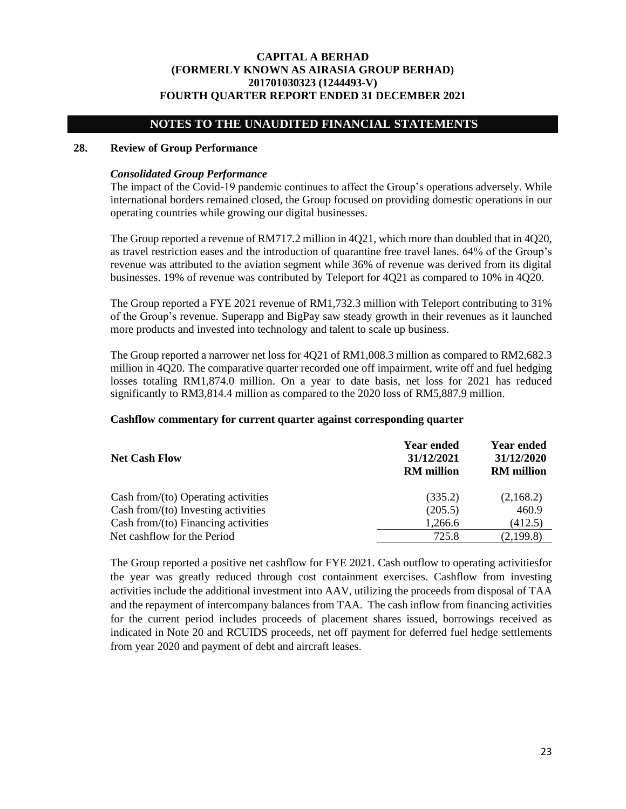## **NOTES TO THE UNAUDITED FINANCIAL STATEMENTS**

#### **28. Review of Group Performance**

### *Consolidated Group Performance*

The impact of the Covid-19 pandemic continues to affect the Group's operations adversely. While international borders remained closed, the Group focused on providing domestic operations in our operating countries while growing our digital businesses.

The Group reported a revenue of RM717.2 million in 4Q21, which more than doubled that in 4Q20, as travel restriction eases and the introduction of quarantine free travel lanes. 64% of the Group's revenue was attributed to the aviation segment while 36% of revenue was derived from its digital businesses. 19% of revenue was contributed by Teleport for 4Q21 as compared to 10% in 4Q20.

The Group reported a FYE 2021 revenue of RM1,732.3 million with Teleport contributing to 31% of the Group's revenue. Superapp and BigPay saw steady growth in their revenues as it launched more products and invested into technology and talent to scale up business.

The Group reported a narrower net loss for 4Q21 of RM1,008.3 million as compared to RM2,682.3 million in 4Q20. The comparative quarter recorded one off impairment, write off and fuel hedging losses totaling RM1,874.0 million. On a year to date basis, net loss for 2021 has reduced significantly to RM3,814.4 million as compared to the 2020 loss of RM5,887.9 million.

### **Cashflow commentary for current quarter against corresponding quarter**

| <b>Net Cash Flow</b>                   | <b>Year ended</b><br>31/12/2021<br><b>RM</b> million | <b>Year ended</b><br>31/12/2020<br><b>RM</b> million |
|----------------------------------------|------------------------------------------------------|------------------------------------------------------|
| Cash from/ $(to)$ Operating activities | (335.2)                                              | (2,168.2)                                            |
| Cash from/(to) Investing activities    | (205.5)                                              | 460.9                                                |
| Cash from/(to) Financing activities    | 1,266.6                                              | (412.5)                                              |
| Net cashflow for the Period            | 725.8                                                | (2,199.8)                                            |

The Group reported a positive net cashflow for FYE 2021. Cash outflow to operating activitiesfor the year was greatly reduced through cost containment exercises. Cashflow from investing activities include the additional investment into AAV, utilizing the proceeds from disposal of TAA and the repayment of intercompany balances from TAA. The cash inflow from financing activities for the current period includes proceeds of placement shares issued, borrowings received as indicated in Note 20 and RCUIDS proceeds, net off payment for deferred fuel hedge settlements from year 2020 and payment of debt and aircraft leases.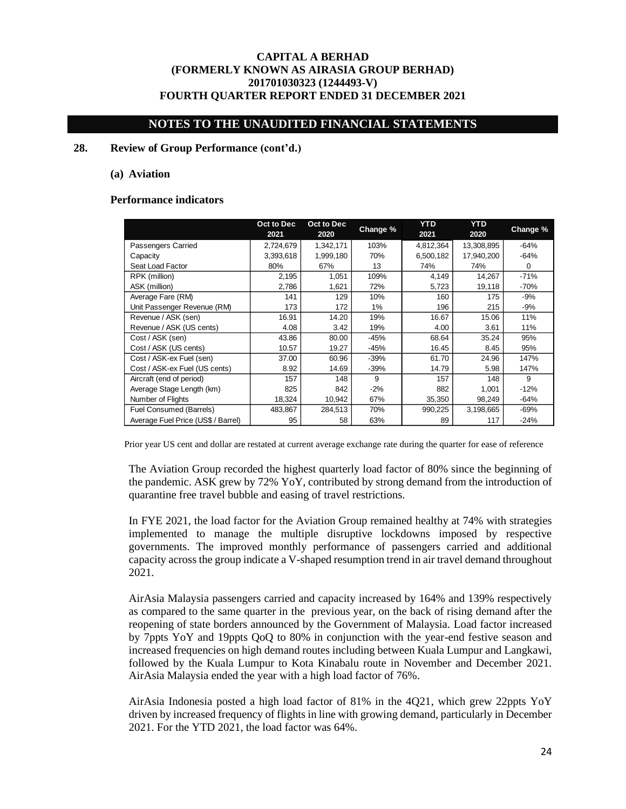## **NOTES TO THE UNAUDITED FINANCIAL STATEMENTS**

#### **28. Review of Group Performance (cont'd.)**

#### **(a) Aviation**

#### **Performance indicators**

|                                    | Oct to Dec<br>2021 | Oct to Dec<br>2020 | Change % | <b>YTD</b><br>2021 | <b>YTD</b><br>2020 | Change % |
|------------------------------------|--------------------|--------------------|----------|--------------------|--------------------|----------|
| Passengers Carried                 | 2,724,679          | 1,342,171          | 103%     | 4,812,364          | 13,308,895         | $-64%$   |
| Capacity                           | 3,393,618          | 1,999,180          | 70%      | 6,500,182          | 17,940,200         | $-64%$   |
| Seat Load Factor                   | 80%                | 67%                | 13       | 74%                | 74%                | 0        |
| RPK (million)                      | 2,195              | 1,051              | 109%     | 4,149              | 14,267             | $-71%$   |
| ASK (million)                      | 2,786              | 1,621              | 72%      | 5,723              | 19,118             | $-70%$   |
| Average Fare (RM)                  | 141                | 129                | 10%      | 160                | 175                | $-9%$    |
| Unit Passenger Revenue (RM)        | 173                | 172                | 1%       | 196                | 215                | $-9%$    |
| Revenue / ASK (sen)                | 16.91              | 14.20              | 19%      | 16.67              | 15.06              | 11%      |
| Revenue / ASK (US cents)           | 4.08               | 3.42               | 19%      | 4.00               | 3.61               | 11%      |
| Cost / ASK (sen)                   | 43.86              | 80.00              | -45%     | 68.64              | 35.24              | 95%      |
| Cost / ASK (US cents)              | 10.57              | 19.27              | -45%     | 16.45              | 8.45               | 95%      |
| Cost / ASK-ex Fuel (sen)           | 37.00              | 60.96              | $-39%$   | 61.70              | 24.96              | 147%     |
| Cost / ASK-ex Fuel (US cents)      | 8.92               | 14.69              | $-39%$   | 14.79              | 5.98               | 147%     |
| Aircraft (end of period)           | 157                | 148                | 9        | 157                | 148                | 9        |
| Average Stage Length (km)          | 825                | 842                | $-2%$    | 882                | 1,001              | $-12%$   |
| Number of Flights                  | 18,324             | 10,942             | 67%      | 35,350             | 98,249             | $-64%$   |
| Fuel Consumed (Barrels)            | 483,867            | 284,513            | 70%      | 990,225            | 3,198,665          | $-69%$   |
| Average Fuel Price (US\$ / Barrel) | 95                 | 58                 | 63%      | 89                 | 117                | $-24%$   |

Prior year US cent and dollar are restated at current average exchange rate during the quarter for ease of reference

The Aviation Group recorded the highest quarterly load factor of 80% since the beginning of the pandemic. ASK grew by 72% YoY, contributed by strong demand from the introduction of quarantine free travel bubble and easing of travel restrictions.

In FYE 2021, the load factor for the Aviation Group remained healthy at 74% with strategies implemented to manage the multiple disruptive lockdowns imposed by respective governments. The improved monthly performance of passengers carried and additional capacity across the group indicate a V-shaped resumption trend in air travel demand throughout 2021.

AirAsia Malaysia passengers carried and capacity increased by 164% and 139% respectively as compared to the same quarter in the previous year, on the back of rising demand after the reopening of state borders announced by the Government of Malaysia. Load factor increased by 7ppts YoY and 19ppts QoQ to 80% in conjunction with the year-end festive season and increased frequencies on high demand routes including between Kuala Lumpur and Langkawi, followed by the Kuala Lumpur to Kota Kinabalu route in November and December 2021. AirAsia Malaysia ended the year with a high load factor of 76%.

AirAsia Indonesia posted a high load factor of 81% in the 4Q21, which grew 22ppts YoY driven by increased frequency of flights in line with growing demand, particularly in December 2021. For the YTD 2021, the load factor was 64%.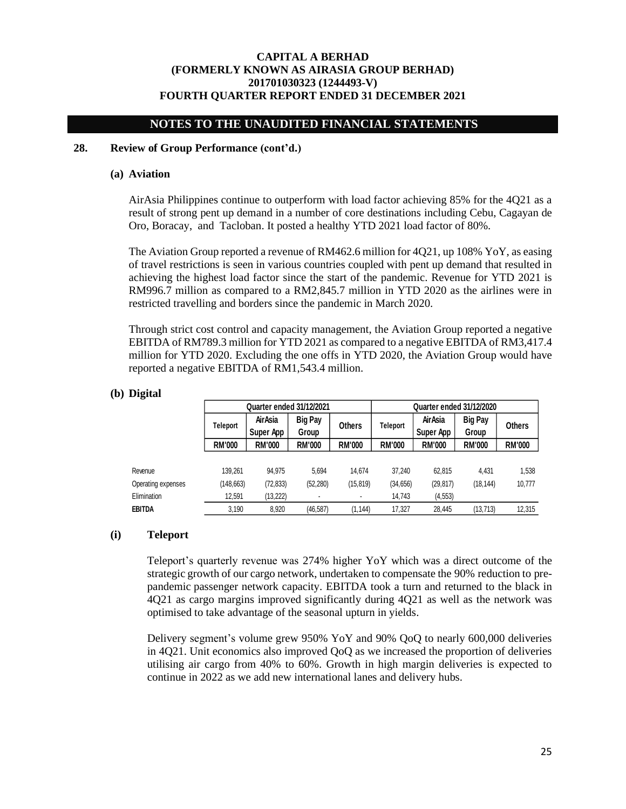## **NOTES TO THE UNAUDITED FINANCIAL STATEMENTS**

### **28. Review of Group Performance (cont'd.)**

#### **(a) Aviation**

AirAsia Philippines continue to outperform with load factor achieving 85% for the 4Q21 as a result of strong pent up demand in a number of core destinations including Cebu, Cagayan de Oro, Boracay, and Tacloban. It posted a healthy YTD 2021 load factor of 80%.

The Aviation Group reported a revenue of RM462.6 million for 4Q21, up 108% YoY, as easing of travel restrictions is seen in various countries coupled with pent up demand that resulted in achieving the highest load factor since the start of the pandemic. Revenue for YTD 2021 is RM996.7 million as compared to a RM2,845.7 million in YTD 2020 as the airlines were in restricted travelling and borders since the pandemic in March 2020.

Through strict cost control and capacity management, the Aviation Group reported a negative EBITDA of RM789.3 million for YTD 2021 as compared to a negative EBITDA of RM3,417.4 million for YTD 2020. Excluding the one offs in YTD 2020, the Aviation Group would have reported a negative EBITDA of RM1,543.4 million.

## **(b) Digital**

|                    |               | <b>Quarter ended 31/12/2021</b> |                         |                |               | <b>Quarter ended 31/12/2020</b> |                         |               |  |
|--------------------|---------------|---------------------------------|-------------------------|----------------|---------------|---------------------------------|-------------------------|---------------|--|
|                    | Teleport      | <b>Air Asia</b><br>Super App    | <b>Big Pay</b><br>Group | <b>Others</b>  | Teleport      | AirAsia<br>Super App            | <b>Big Pay</b><br>Group | <b>Others</b> |  |
|                    | <b>RM'000</b> | <b>RM'000</b>                   | <b>RM'000</b>           | <b>RM'000</b>  | <b>RM'000</b> | <b>RM'000</b>                   | <b>RM'000</b>           | <b>RM'000</b> |  |
| Revenue            | 139.261       | 94.975                          | 5.694                   | 14.674         | 37.240        | 62,815                          | 4.431                   | 1,538         |  |
| Operating expenses | (148,663)     | (72, 833)                       | (52, 280)               | (15, 819)      | (34, 656)     | (29.817)                        | (18, 144)               | 10,777        |  |
| Elimination        | 12,591        | (13, 222)                       |                         | $\blacksquare$ | 14,743        | (4, 553)                        |                         |               |  |
| EBITDA             | 3,190         | 8,920                           | (46, 587)               | (1, 144)       | 17,327        | 28.445                          | (13, 713)               | 12,315        |  |

### **(i) Teleport**

Teleport's quarterly revenue was 274% higher YoY which was a direct outcome of the strategic growth of our cargo network, undertaken to compensate the 90% reduction to prepandemic passenger network capacity. EBITDA took a turn and returned to the black in 4Q21 as cargo margins improved significantly during 4Q21 as well as the network was optimised to take advantage of the seasonal upturn in yields.

Delivery segment's volume grew 950% YoY and 90% QoQ to nearly 600,000 deliveries in 4Q21. Unit economics also improved QoQ as we increased the proportion of deliveries utilising air cargo from 40% to 60%. Growth in high margin deliveries is expected to continue in 2022 as we add new international lanes and delivery hubs.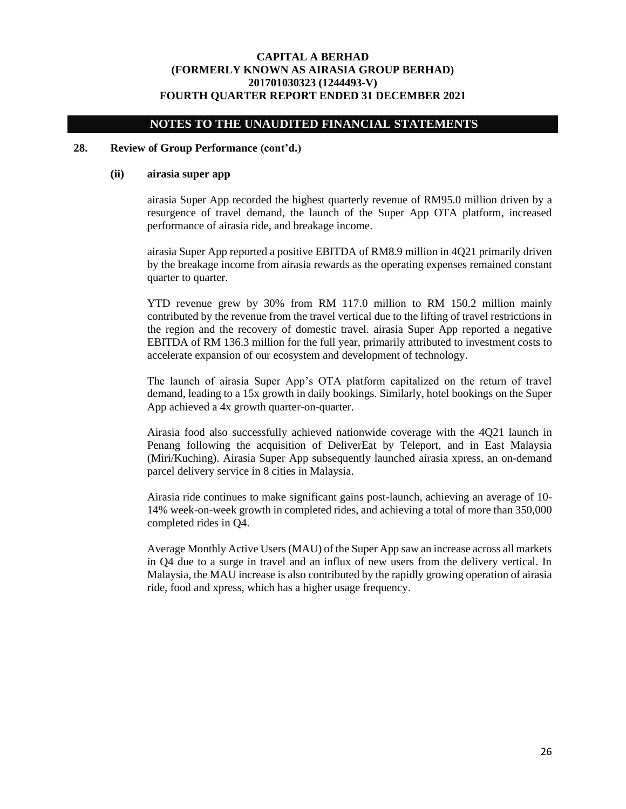## **NOTES TO THE UNAUDITED FINANCIAL STATEMENTS**

#### **28. Review of Group Performance (cont'd.)**

#### **(ii) airasia super app**

airasia Super App recorded the highest quarterly revenue of RM95.0 million driven by a resurgence of travel demand, the launch of the Super App OTA platform, increased performance of airasia ride, and breakage income.

airasia Super App reported a positive EBITDA of RM8.9 million in 4Q21 primarily driven by the breakage income from airasia rewards as the operating expenses remained constant quarter to quarter.

YTD revenue grew by 30% from RM 117.0 million to RM 150.2 million mainly contributed by the revenue from the travel vertical due to the lifting of travel restrictions in the region and the recovery of domestic travel. airasia Super App reported a negative EBITDA of RM 136.3 million for the full year, primarily attributed to investment costs to accelerate expansion of our ecosystem and development of technology.

The launch of airasia Super App's OTA platform capitalized on the return of travel demand, leading to a 15x growth in daily bookings. Similarly, hotel bookings on the Super App achieved a 4x growth quarter-on-quarter.

Airasia food also successfully achieved nationwide coverage with the 4Q21 launch in Penang following the acquisition of DeliverEat by Teleport, and in East Malaysia (Miri/Kuching). Airasia Super App subsequently launched airasia xpress, an on-demand parcel delivery service in 8 cities in Malaysia.

Airasia ride continues to make significant gains post-launch, achieving an average of 10- 14% week-on-week growth in completed rides, and achieving a total of more than 350,000 completed rides in Q4.

Average Monthly Active Users (MAU) of the Super App saw an increase across all markets in Q4 due to a surge in travel and an influx of new users from the delivery vertical. In Malaysia, the MAU increase is also contributed by the rapidly growing operation of airasia ride, food and xpress, which has a higher usage frequency.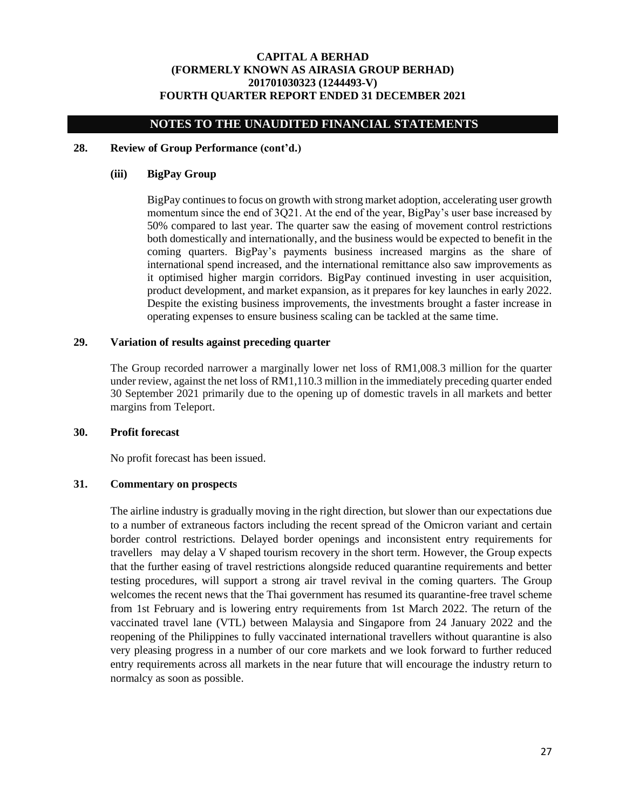## **NOTES TO THE UNAUDITED FINANCIAL STATEMENTS**

#### **28. Review of Group Performance (cont'd.)**

## **(iii) BigPay Group**

BigPay continues to focus on growth with strong market adoption, accelerating user growth momentum since the end of 3Q21. At the end of the year, BigPay's user base increased by 50% compared to last year. The quarter saw the easing of movement control restrictions both domestically and internationally, and the business would be expected to benefit in the coming quarters. BigPay's payments business increased margins as the share of international spend increased, and the international remittance also saw improvements as it optimised higher margin corridors. BigPay continued investing in user acquisition, product development, and market expansion, as it prepares for key launches in early 2022. Despite the existing business improvements, the investments brought a faster increase in operating expenses to ensure business scaling can be tackled at the same time.

### **29. Variation of results against preceding quarter**

The Group recorded narrower a marginally lower net loss of RM1,008.3 million for the quarter under review, against the net loss of RM1,110.3 million in the immediately preceding quarter ended 30 September 2021 primarily due to the opening up of domestic travels in all markets and better margins from Teleport.

#### **30. Profit forecast**

No profit forecast has been issued.

### **31. Commentary on prospects**

The airline industry is gradually moving in the right direction, but slower than our expectations due to a number of extraneous factors including the recent spread of the Omicron variant and certain border control restrictions. Delayed border openings and inconsistent entry requirements for travellers may delay a V shaped tourism recovery in the short term. However, the Group expects that the further easing of travel restrictions alongside reduced quarantine requirements and better testing procedures, will support a strong air travel revival in the coming quarters. The Group welcomes the recent news that the Thai government has resumed its quarantine-free travel scheme from 1st February and is lowering entry requirements from 1st March 2022. The return of the vaccinated travel lane (VTL) between Malaysia and Singapore from 24 January 2022 and the reopening of the Philippines to fully vaccinated international travellers without quarantine is also very pleasing progress in a number of our core markets and we look forward to further reduced entry requirements across all markets in the near future that will encourage the industry return to normalcy as soon as possible.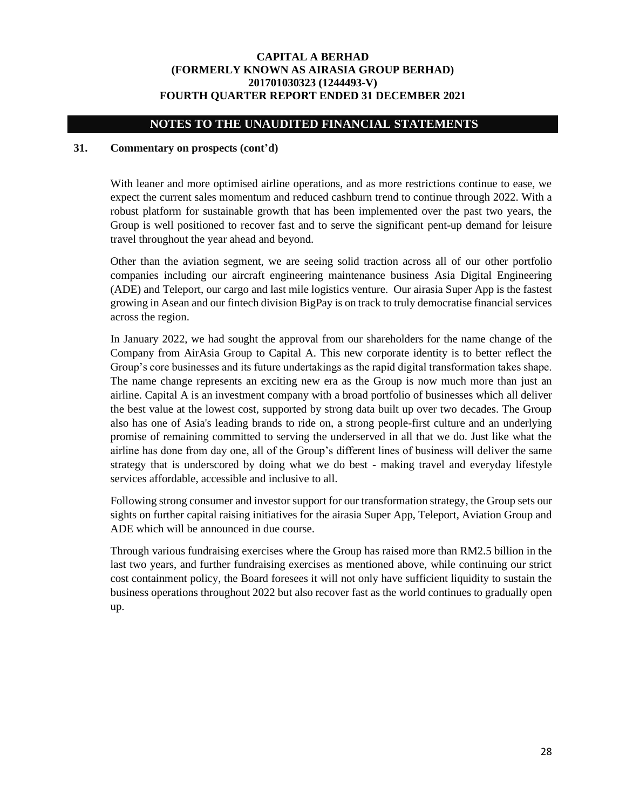## **NOTES TO THE UNAUDITED FINANCIAL STATEMENTS**

### **31. Commentary on prospects (cont'd)**

With leaner and more optimised airline operations, and as more restrictions continue to ease, we expect the current sales momentum and reduced cashburn trend to continue through 2022. With a robust platform for sustainable growth that has been implemented over the past two years, the Group is well positioned to recover fast and to serve the significant pent-up demand for leisure travel throughout the year ahead and beyond.

Other than the aviation segment, we are seeing solid traction across all of our other portfolio companies including our aircraft engineering maintenance business Asia Digital Engineering (ADE) and Teleport, our cargo and last mile logistics venture. Our airasia Super App is the fastest growing in Asean and our fintech division BigPay is on track to truly democratise financial services across the region.

In January 2022, we had sought the approval from our shareholders for the name change of the Company from AirAsia Group to Capital A. This new corporate identity is to better reflect the Group's core businesses and its future undertakings as the rapid digital transformation takes shape. The name change represents an exciting new era as the Group is now much more than just an airline. Capital A is an investment company with a broad portfolio of businesses which all deliver the best value at the lowest cost, supported by strong data built up over two decades. The Group also has one of Asia's leading brands to ride on, a strong people-first culture and an underlying promise of remaining committed to serving the underserved in all that we do. Just like what the airline has done from day one, all of the Group's different lines of business will deliver the same strategy that is underscored by doing what we do best - making travel and everyday lifestyle services affordable, accessible and inclusive to all.

Following strong consumer and investor support for our transformation strategy, the Group sets our sights on further capital raising initiatives for the airasia Super App, Teleport, Aviation Group and ADE which will be announced in due course.

Through various fundraising exercises where the Group has raised more than RM2.5 billion in the last two years, and further fundraising exercises as mentioned above, while continuing our strict cost containment policy, the Board foresees it will not only have sufficient liquidity to sustain the business operations throughout 2022 but also recover fast as the world continues to gradually open up.